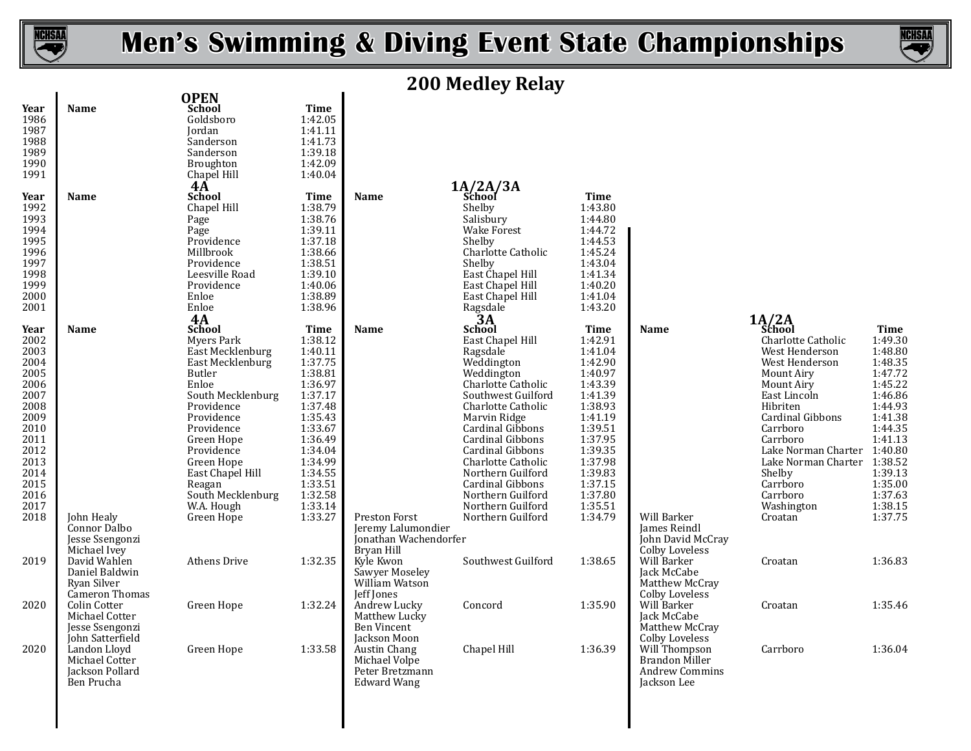

**Year Name School Time OPEN**

# **Men's Swimming & Diving Event State Championships**



# **200 Medley Relay**

| 1986<br>1987<br>1988<br>1989<br>1990<br>1991                                                                                                 |                                                                       | Goldsboro<br>Jordan<br>Sanderson<br>Sanderson<br>Broughton<br>Chapel Hill                                                                                                                                                                                                      | 1:42.05<br>1:41.11<br>1:41.73<br>1:39.18<br>1:42.09<br>1:40.04                                                                                                                                         |                                                                                                  |                                                                                                                                                                                                                                                                                                                                      |                                                                                                                                                                                                 |                                                                                          |                                                                                                                                                                                                                                                                                                                 |                                                                                                                                                                                  |
|----------------------------------------------------------------------------------------------------------------------------------------------|-----------------------------------------------------------------------|--------------------------------------------------------------------------------------------------------------------------------------------------------------------------------------------------------------------------------------------------------------------------------|--------------------------------------------------------------------------------------------------------------------------------------------------------------------------------------------------------|--------------------------------------------------------------------------------------------------|--------------------------------------------------------------------------------------------------------------------------------------------------------------------------------------------------------------------------------------------------------------------------------------------------------------------------------------|-------------------------------------------------------------------------------------------------------------------------------------------------------------------------------------------------|------------------------------------------------------------------------------------------|-----------------------------------------------------------------------------------------------------------------------------------------------------------------------------------------------------------------------------------------------------------------------------------------------------------------|----------------------------------------------------------------------------------------------------------------------------------------------------------------------------------|
| Year<br>1992<br>1993<br>1994<br>1995<br>1996<br>1997<br>1998<br>1999<br>2000<br>2001                                                         | <b>Name</b>                                                           | $4\AA$<br><b>School</b><br>Chapel Hill<br>Page<br>Page<br>Providence<br>Millbrook<br>Providence<br>Leesville Road<br>Providence<br>Enloe<br>Enloe<br><b>4A</b>                                                                                                                 | <b>Time</b><br>1:38.79<br>1:38.76<br>1:39.11<br>1:37.18<br>1:38.66<br>1:38.51<br>1:39.10<br>1:40.06<br>1:38.89<br>1:38.96                                                                              | <b>Name</b>                                                                                      | $1A/2A/3A$<br>School<br>Shelby<br>Salisbury<br><b>Wake Forest</b><br>Shelby<br>Charlotte Catholic<br>Shelby<br>East Chapel Hill<br>East Chapel Hill<br>East Chapel Hill<br>Ragsdale <sup>1</sup><br>School                                                                                                                           | <b>Time</b><br>1:43.80<br>1:44.80<br>1:44.72<br>1:44.53<br>1:45.24<br>1:43.04<br>1:41.34<br>1:40.20<br>1:41.04<br>1:43.20                                                                       |                                                                                          |                                                                                                                                                                                                                                                                                                                 |                                                                                                                                                                                  |
| Year<br>2002<br>2003<br>2004<br>2005<br>2006<br>2007<br>2008<br>2009<br>2010<br>2011<br>2012<br>2013<br>2014<br>2015<br>2016<br>2017<br>2018 | Name<br>John Healy<br>Connor Dalbo<br>Jesse Ssengonzi<br>Michael Ivev | <b>School</b><br>Mvers Park<br>East Mecklenburg<br>East Mecklenburg<br>Butler<br>Enloe<br>South Mecklenburg<br>Providence<br>Providence<br>Providence<br>Green Hope<br>Providence<br>Green Hope<br>East Chapel Hill<br>Reagan<br>South Mecklenburg<br>W.A. Hough<br>Green Hope | <b>Time</b><br>1:38.12<br>1:40.11<br>1:37.75<br>1:38.81<br>1:36.97<br>1:37.17<br>1:37.48<br>1:35.43<br>1:33.67<br>1:36.49<br>1:34.04<br>1:34.99<br>1:34.55<br>1:33.51<br>1:32.58<br>1:33.14<br>1:33.27 | <b>Name</b><br>Preston Forst<br>Jeremy Lalumondier<br><b>Ionathan Wachendorfer</b><br>Bryan Hill | East Chapel Hill<br>Ragsdale<br>Weddington<br>Weddington<br>Charlotte Catholic<br>Southwest Guilford<br>Charlotte Catholic<br>Marvin Ridge<br>Cardinal Gibbons<br>Cardinal Gibbons<br>Cardinal Gibbons<br>Charlotte Catholic<br>Northern Guilford<br>Cardinal Gibbons<br>Northern Guilford<br>Northern Guilford<br>Northern Guilford | Time<br>1:42.91<br>1:41.04<br>1:42.90<br>1:40.97<br>1:43.39<br>1:41.39<br>1:38.93<br>1:41.19<br>1:39.51<br>1:37.95<br>1:39.35<br>1:37.98<br>1:39.83<br>1:37.15<br>1:37.80<br>1:35.51<br>1:34.79 | Name<br>Will Barker<br><b>James Reindl</b><br>John David McCray<br><b>Colby Loveless</b> | $1A/2A$<br>School<br>Charlotte Catholic<br>West Henderson<br>West Henderson<br>Mount Airy<br>Mount Airy<br>East Lincoln<br>Hibriten<br><b>Cardinal Gibbons</b><br>Carrboro<br>Carrboro<br>Lake Norman Charter 1:40.80<br>Lake Norman Charter 1:38.52<br>Shelby<br>Carrboro<br>Carrboro<br>Washington<br>Croatan | <b>Time</b><br>1:49.30<br>1:48.80<br>1:48.35<br>1:47.72<br>1:45.22<br>1:46.86<br>1:44.93<br>1:41.38<br>1:44.35<br>1:41.13<br>1:39.13<br>1:35.00<br>1:37.63<br>1:38.15<br>1:37.75 |
| 2019                                                                                                                                         | David Wahlen<br>Daniel Baldwin<br>Ryan Silver<br>Cameron Thomas       | <b>Athens Drive</b>                                                                                                                                                                                                                                                            | 1:32.35                                                                                                                                                                                                | Kyle Kwon<br>Sawyer Moseley<br>William Watson<br>Jeff Jones                                      | Southwest Guilford                                                                                                                                                                                                                                                                                                                   | 1:38.65                                                                                                                                                                                         | Will Barker<br>Jack McCabe<br>Matthew McCray<br><b>Colby Loveless</b>                    | Croatan                                                                                                                                                                                                                                                                                                         | 1:36.83                                                                                                                                                                          |
| 2020                                                                                                                                         | Colin Cotter<br>Michael Cotter<br>Jesse Ssengonzi<br>John Satterfield | Green Hope                                                                                                                                                                                                                                                                     | 1:32.24                                                                                                                                                                                                | Andrew Lucky<br>Matthew Lucky<br><b>Ben Vincent</b><br>Jackson Moon                              | Concord                                                                                                                                                                                                                                                                                                                              | 1:35.90                                                                                                                                                                                         | Will Barker<br>Jack McCabe<br>Matthew McCray<br><b>Colby Loveless</b>                    | Croatan                                                                                                                                                                                                                                                                                                         | 1:35.46                                                                                                                                                                          |
| 2020                                                                                                                                         | Landon Lloyd<br>Michael Cotter<br>Jackson Pollard<br>Ben Prucha       | Green Hope                                                                                                                                                                                                                                                                     | 1:33.58                                                                                                                                                                                                | Austin Chang<br>Michael Volpe<br>Peter Bretzmann<br><b>Edward Wang</b>                           | Chapel Hill                                                                                                                                                                                                                                                                                                                          | 1:36.39                                                                                                                                                                                         | Will Thompson<br><b>Brandon Miller</b><br><b>Andrew Commins</b><br>Jackson Lee           | Carrboro                                                                                                                                                                                                                                                                                                        | 1:36.04                                                                                                                                                                          |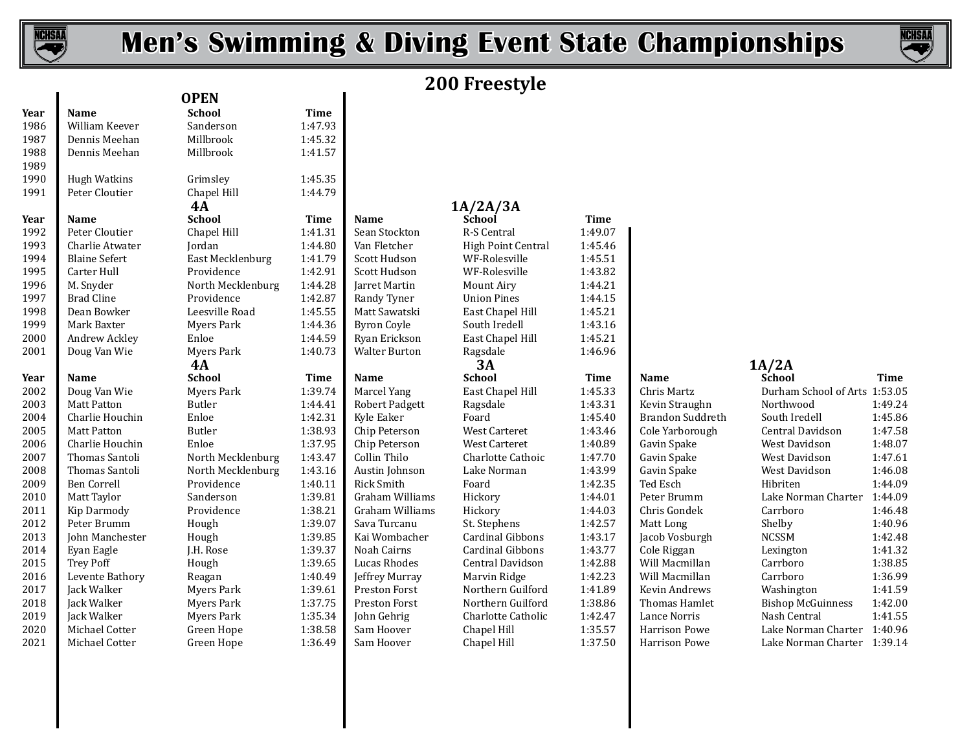

 $\mathbf{I}$ 

# **Men's Swimming & Diving Event State Championships**



# **200 Freestyle**

| Year | Name                 | <b>School</b>     | <b>Time</b> |                      |                         |             |                      |                               |             |
|------|----------------------|-------------------|-------------|----------------------|-------------------------|-------------|----------------------|-------------------------------|-------------|
| 1986 | William Keever       | Sanderson         | 1:47.93     |                      |                         |             |                      |                               |             |
| 1987 | Dennis Meehan        | Millbrook         | 1:45.32     |                      |                         |             |                      |                               |             |
| 1988 | Dennis Meehan        | Millbrook         | 1:41.57     |                      |                         |             |                      |                               |             |
| 1989 |                      |                   |             |                      |                         |             |                      |                               |             |
| 1990 | <b>Hugh Watkins</b>  | Grimsley          | 1:45.35     |                      |                         |             |                      |                               |             |
| 1991 | Peter Cloutier       | Chapel Hill       | 1:44.79     |                      |                         |             |                      |                               |             |
|      |                      | 4A                |             |                      | 1A/2A/3A                |             |                      |                               |             |
| Year | Name                 | <b>School</b>     | Time        | Name                 | <b>School</b>           | <b>Time</b> |                      |                               |             |
| 1992 | Peter Cloutier       | Chapel Hill       | 1:41.31     | Sean Stockton        | R-S Central             | 1:49.07     |                      |                               |             |
| 1993 | Charlie Atwater      | Jordan            | 1:44.80     | Van Fletcher         | High Point Central      | 1:45.46     |                      |                               |             |
| 1994 | <b>Blaine Sefert</b> | East Mecklenburg  | 1:41.79     | Scott Hudson         | WF-Rolesville           | 1:45.51     |                      |                               |             |
| 1995 | Carter Hull          | Providence        | 1:42.91     | Scott Hudson         | WF-Rolesville           | 1:43.82     |                      |                               |             |
| 1996 | M. Snyder            | North Mecklenburg | 1:44.28     | Jarret Martin        | Mount Airy              | 1:44.21     |                      |                               |             |
| 1997 | <b>Brad Cline</b>    | Providence        | 1:42.87     | Randy Tyner          | <b>Union Pines</b>      | 1:44.15     |                      |                               |             |
| 1998 | Dean Bowker          | Leesville Road    | 1:45.55     | Matt Sawatski        | East Chapel Hill        | 1:45.21     |                      |                               |             |
| 1999 | Mark Baxter          | Myers Park        | 1:44.36     | <b>Byron Coyle</b>   | South Iredell           | 1:43.16     |                      |                               |             |
| 2000 | Andrew Ackley        | Enloe             | 1:44.59     | Ryan Erickson        | East Chapel Hill        | 1:45.21     |                      |                               |             |
| 2001 | Doug Van Wie         | Myers Park        | 1:40.73     | <b>Walter Burton</b> | Ragsdale                | 1:46.96     |                      |                               |             |
|      |                      | <b>4A</b>         |             |                      | 3A                      |             |                      | 1A/2A                         |             |
| Year | <b>Name</b>          | <b>School</b>     | Time        | <b>Name</b>          | <b>School</b>           | <b>Time</b> | <b>Name</b>          | School                        | <b>Time</b> |
| 2002 | Doug Van Wie         | Myers Park        | 1:39.74     | Marcel Yang          | East Chapel Hill        | 1:45.33     | Chris Martz          | Durham School of Arts 1:53.05 |             |
| 2003 | <b>Matt Patton</b>   | Butler            | 1:44.41     | Robert Padgett       | Ragsdale                | 1:43.31     | Kevin Straughn       | Northwood                     | 1:49.24     |
| 2004 | Charlie Houchin      | Enloe             | 1:42.31     | Kyle Eaker           | Foard                   | 1:45.40     | Brandon Suddreth     | South Iredell                 | 1:45.86     |
| 2005 | <b>Matt Patton</b>   | Butler            | 1:38.93     | Chip Peterson        | West Carteret           | 1:43.46     | Cole Yarborough      | Central Davidson              | 1:47.58     |
| 2006 | Charlie Houchin      | Enloe             | 1:37.95     | Chip Peterson        | <b>West Carteret</b>    | 1:40.89     | Gavin Spake          | West Davidson                 | 1:48.07     |
| 2007 | Thomas Santoli       | North Mecklenburg | 1:43.47     | Collin Thilo         | Charlotte Cathoic       | 1:47.70     | Gavin Spake          | West Davidson                 | 1:47.61     |
| 2008 | Thomas Santoli       | North Mecklenburg | 1:43.16     | Austin Johnson       | Lake Norman             | 1:43.99     | Gavin Spake          | West Davidson                 | 1:46.08     |
| 2009 | <b>Ben Correll</b>   | Providence        | 1:40.11     | Rick Smith           | Foard                   | 1:42.35     | Ted Esch             | Hibriten                      | 1:44.09     |
| 2010 | Matt Taylor          | Sanderson         | 1:39.81     | Graham Williams      | Hickory                 | 1:44.01     | Peter Brumm          | Lake Norman Charter           | 1:44.09     |
| 2011 | Kip Darmody          | Providence        | 1:38.21     | Graham Williams      | Hickory                 | 1:44.03     | Chris Gondek         | Carrboro                      | 1:46.48     |
| 2012 | Peter Brumm          | Hough             | 1:39.07     | Sava Turcanu         | St. Stephens            | 1:42.57     | Matt Long            | Shelby                        | 1:40.96     |
| 2013 | John Manchester      | Hough             | 1:39.85     | Kai Wombacher        | <b>Cardinal Gibbons</b> | 1:43.17     | Jacob Vosburgh       | <b>NCSSM</b>                  | 1:42.48     |
| 2014 | Eyan Eagle           | J.H. Rose         | 1:39.37     | Noah Cairns          | Cardinal Gibbons        | 1:43.77     | Cole Riggan          | Lexington                     | 1:41.32     |
| 2015 | <b>Trey Poff</b>     | Hough             | 1:39.65     | <b>Lucas Rhodes</b>  | Central Davidson        | 1:42.88     | Will Macmillan       | Carrboro                      | 1:38.85     |
| 2016 | Levente Bathory      | Reagan            | 1:40.49     | Jeffrey Murray       | Marvin Ridge            | 1:42.23     | Will Macmillan       | Carrboro                      | 1:36.99     |
| 2017 | Jack Walker          | Myers Park        | 1:39.61     | Preston Forst        | Northern Guilford       | 1:41.89     | Kevin Andrews        | Washington                    | 1:41.59     |
| 2018 | Jack Walker          | Myers Park        | 1:37.75     | Preston Forst        | Northern Guilford       | 1:38.86     | Thomas Hamlet        | <b>Bishop McGuinness</b>      | 1:42.00     |
| 2019 | Jack Walker          | Myers Park        | 1:35.34     | John Gehrig          | Charlotte Catholic      | 1:42.47     | Lance Norris         | Nash Central                  | 1:41.55     |
| 2020 | Michael Cotter       | Green Hope        | 1:38.58     | Sam Hoover           | Chapel Hill             | 1:35.57     | <b>Harrison Powe</b> | Lake Norman Charter           | 1:40.96     |
| 2021 | Michael Cotter       | Green Hope        | 1:36.49     | Sam Hoover           | Chapel Hill             | 1:37.50     | <b>Harrison Powe</b> | Lake Norman Charter 1:39.14   |             |
|      |                      |                   |             |                      |                         |             |                      |                               |             |

| <b>OPEN</b>       |             |                       |                    |
|-------------------|-------------|-----------------------|--------------------|
| <b>School</b>     | <b>Time</b> |                       |                    |
| Sanderson         | 1:47.93     |                       |                    |
| Millbrook         | 1:45.32     |                       |                    |
| Millbrook         | 1:41.57     |                       |                    |
| Grimsley          | 1:45.35     |                       |                    |
| Chapel Hill       | 1:44.79     |                       |                    |
| 4A                |             |                       | 1A/2A/3A           |
| <b>School</b>     | Time        | Name                  | <b>School</b>      |
| Chapel Hill       | 1:41.31     | Sean Stockton         | R-S Central        |
| Jordan            | 1:44.80     | Van Fletcher          | High Point C       |
| East Mecklenburg  | 1:41.79     | Scott Hudson          | WF-Rolesvil        |
| Providence        | 1:42.91     | Scott Hudson          | WF-Rolesvil        |
| North Mecklenburg | 1:44.28     | Jarret Martin         | Mount Airy         |
| Providence        | 1:42.87     | Randy Tyner           | <b>Union Pines</b> |
| Leesville Road    | 1:45.55     | Matt Sawatski         | East Chapel        |
| Myers Park        | 1:44.36     | <b>Byron Coyle</b>    | South Iredel       |
| Enloe             | 1:44.59     | Ryan Erickson         | East Chapel        |
| <b>Myers Park</b> | 1:40.73     | <b>Walter Burton</b>  | Ragsdale           |
| 4A                |             |                       | 3A                 |
| <b>School</b>     | <b>Time</b> | Name                  | <b>School</b>      |
| Myers Park        | 1:39.74     | Marcel Yang           | East Chapel        |
| Butler            | 1:44.41     | <b>Robert Padgett</b> | Ragsdale           |
| Enloe             | 1:42.31     | Kyle Eaker            | Foard              |
| Butler            | 1:38.93     | Chip Peterson         | West Carter        |
| Enloe             | 1:37.95     | Chip Peterson         | West Carter        |
| North Mecklenburg | 1:43.47     | Collin Thilo          | Charlotte Ca       |
| North Mecklenburg | 1:43.16     | Austin Johnson        | Lake Norma         |
| Providence        | 1:40.11     | <b>Rick Smith</b>     | Foard              |
| Sanderson         | 1:39.81     | Graham Williams       | Hickory            |
| Providence        | 1:38.21     | Graham Williams       | Hickory            |
| Hough             | 1:39.07     | Sava Turcanu          | St. Stephens       |
| Hough             | 1:39.85     | Kai Wombacher         | Cardinal Gib       |
| J.H. Rose         | 1:39.37     | Noah Cairns           | Cardinal Gib       |
| Hough             | 1:39.65     | <b>Lucas Rhodes</b>   | Central Davi       |
| Reagan            | 1:40.49     | Jeffrey Murray        | Marvin Ridg        |
| Myers Park        | 1:39.61     | <b>Preston Forst</b>  | Northern Gı        |
| <b>Myers Park</b> | 1:37.75     | Preston Forst         | Northern Gı        |
| Myers Park        | 1:35.34     | John Gehrig           | Charlotte Ca       |
| Green Hope        | 1:38.58     | Sam Hoover            | Chapel Hill        |
| Green Hope        | 1:36.49     | Sam Hoover            | Chapel Hill        |

| <b>Frimsley</b>          | 1:45.35     |                       |                         |             |                         |              |
|--------------------------|-------------|-----------------------|-------------------------|-------------|-------------------------|--------------|
| hapel Hill               | 1:44.79     |                       |                         |             |                         |              |
| 4А                       |             |                       | 1A/2A/3A                |             |                         |              |
| <b>school</b>            | <b>Time</b> | Name                  | <b>School</b>           | <b>Time</b> |                         |              |
| hapel Hill               | 1:41.31     | Sean Stockton         | R-S Central             | 1:49.07     |                         |              |
| ordan                    | 1:44.80     | Van Fletcher          | High Point Central      | 1:45.46     |                         |              |
| East Mecklenburg         | 1:41.79     | Scott Hudson          | WF-Rolesville           | 1:45.51     |                         |              |
| Providence               | 1:42.91     | Scott Hudson          | WF-Rolesville           | 1:43.82     |                         |              |
| <b>North Mecklenburg</b> | 1:44.28     | Jarret Martin         | Mount Airy              | 1:44.21     |                         |              |
| Providence               | 1:42.87     | Randy Tyner           | <b>Union Pines</b>      | 1:44.15     |                         |              |
| eesville Road            | 1:45.55     | Matt Sawatski         | East Chapel Hill        | 1:45.21     |                         |              |
| Ayers Park               | 1:44.36     | <b>Byron Coyle</b>    | South Iredell           | 1:43.16     |                         |              |
| <b>Enloe</b>             | 1:44.59     | Ryan Erickson         | East Chapel Hill        | 1:45.21     |                         |              |
| Ayers Park               | 1:40.73     | <b>Walter Burton</b>  | Ragsdale                | 1:46.96     |                         |              |
| 4А                       |             |                       | 3A                      |             |                         | 1A/2A        |
| ichool                   | <b>Time</b> | <b>Name</b>           | <b>School</b>           | <b>Time</b> | <b>Name</b>             | <b>Schoo</b> |
| Myers Park               | 1:39.74     | Marcel Yang           | East Chapel Hill        | 1:45.33     | Chris Martz             | Durhai       |
| 3utler                   | 1:44.41     | <b>Robert Padgett</b> | Ragsdale                | 1:43.31     | Kevin Straughn          | Northy       |
| <b>Enloe</b>             | 1:42.31     | Kyle Eaker            | Foard                   | 1:45.40     | <b>Brandon Suddreth</b> | South I      |
| 3utler                   | 1:38.93     | Chip Peterson         | <b>West Carteret</b>    | 1:43.46     | Cole Yarborough         | Centra       |
| ?nloe                    | 1:37.95     | Chip Peterson         | <b>West Carteret</b>    | 1:40.89     | Gavin Spake             | West D       |
| <b>North Mecklenburg</b> | 1:43.47     | Collin Thilo          | Charlotte Cathoic       | 1:47.70     | Gavin Spake             | West D       |
| Vorth Mecklenburg        | 1:43.16     | Austin Johnson        | Lake Norman             | 1:43.99     | Gavin Spake             | West D       |
| Providence               | 1:40.11     | <b>Rick Smith</b>     | Foard                   | 1:42.35     | Ted Esch                | Hibrite      |
| Sanderson                | 1:39.81     | Graham Williams       | Hickory                 | 1:44.01     | Peter Brumm             | Lake N       |
| Providence               | 1:38.21     | Graham Williams       | Hickory                 | 1:44.03     | Chris Gondek            | Carrbo       |
| Iough                    | 1:39.07     | Sava Turcanu          | St. Stephens            | 1:42.57     | Matt Long               | Shelby       |
| Iough                    | 1:39.85     | Kai Wombacher         | <b>Cardinal Gibbons</b> | 1:43.17     | Jacob Vosburgh          | <b>NCSSM</b> |
| .H. Rose                 | 1:39.37     | Noah Cairns           | <b>Cardinal Gibbons</b> | 1:43.77     | Cole Riggan             | Lexing       |
| Iough                    | 1:39.65     | <b>Lucas Rhodes</b>   | Central Davidson        | 1:42.88     | Will Macmillan          | Carrbo       |
| <b>deagan</b>            | 1:40.49     | Jeffrey Murray        | Marvin Ridge            | 1:42.23     | Will Macmillan          | Carrbo       |
| Ayers Park               | 1:39.61     | Preston Forst         | Northern Guilford       | 1:41.89     | Kevin Andrews           | Washii       |
| Ayers Park               | 1:37.75     | Preston Forst         | Northern Guilford       | 1:38.86     | Thomas Hamlet           | Bishop       |
| Ayers Park               | 1:35.34     | John Gehrig           | Charlotte Catholic      | 1:42.47     | Lance Norris            | Nash C       |
| }reen Hope               | 1:38.58     | Sam Hoover            | Chapel Hill             | 1:35.57     | <b>Harrison Powe</b>    | Lake N       |
| Green Hope               | 1:36.49     | Sam Hoover            | Chapel Hill             | 1:37.50     | <b>Harrison Powe</b>    | Lake N       |

| 9.07 |                   |
|------|-------------------|
| 5.46 |                   |
| 5.51 |                   |
| 3.82 |                   |
| 4.21 |                   |
| 4.15 |                   |
| 5.21 |                   |
| 3.16 |                   |
| 5.21 |                   |
| 6.96 |                   |
|      |                   |
| me   | Name              |
| 5.33 | Chris Mart        |
| 3.31 | Kevin Stra        |
| 5.40 | <b>Brandon St</b> |
| 3.46 | Cole Yarbo        |
| 0.89 | Gavin Spak        |
| 7.70 | Gavin Spak        |
| 3.99 | Gavin Spak        |
| 2.35 | Ted Esch          |
| 4.01 | Peter Brun        |
| 4.03 | Chris Gond        |
| 2.57 | Matt Long         |
| 3.17 | Jacob Vosb        |
| 3.77 | Cole Riggar       |
| 2.88 | Will Macm         |
| 2.23 | Will Macm         |
| 1.89 | Kevin Andı        |
| 8.86 | Thomas Ha         |
| 2.47 | Lance Nori        |
| 5.57 | Harrison P        |
|      |                   |

| School                        | Time    |
|-------------------------------|---------|
| Durham School of Arts 1:53.05 |         |
| Northwood                     | 1:49.24 |
| South Iredell                 | 1:45.86 |
| Central Davidson              | 1:47.58 |
| West Davidson                 | 1:48.07 |
| West Davidson                 | 1:47.61 |
| West Davidson                 | 1:46.08 |
| Hibriten                      | 1:44.09 |
| Lake Norman Charter           | 1:44.09 |
| Carrboro                      | 1:46.48 |
| Shelby                        | 1:40.96 |
| <b>NCSSM</b>                  | 1:42.48 |
| Lexington                     | 1:41.32 |
| Carrboro                      | 1:38.85 |
| Carrboro                      | 1:36.99 |
| Washington                    | 1:41.59 |
| <b>Bishop McGuinness</b>      | 1:42.00 |
| Nash Central                  | 1:41.55 |
| Lake Norman Charter 1:40.96   |         |
| Lake Norman Charter           | 1:39.14 |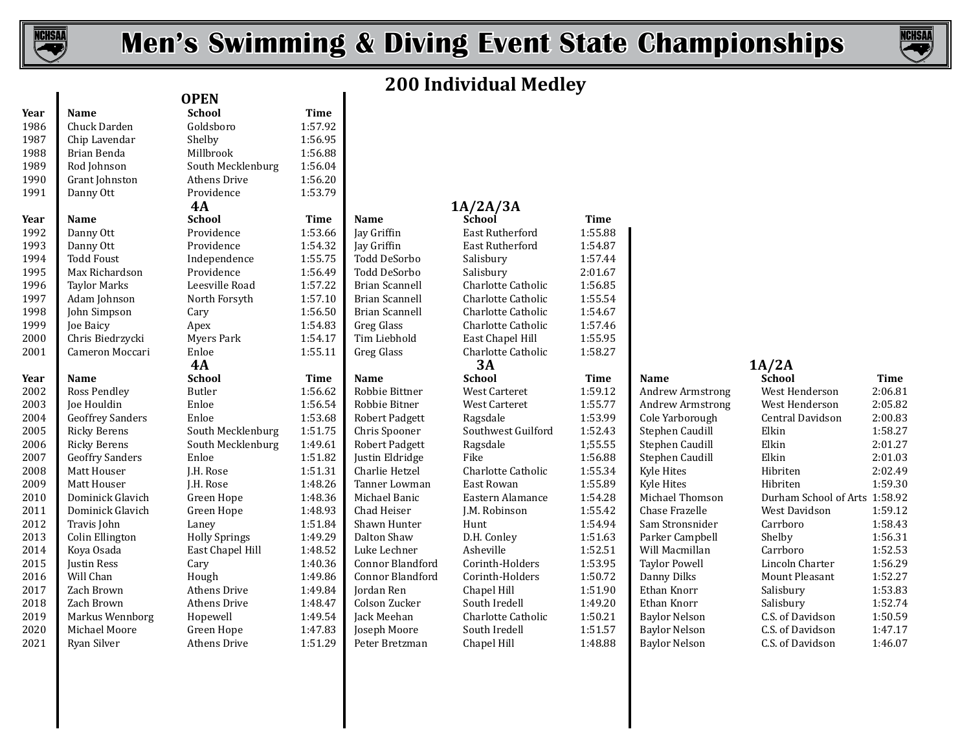

# **Men's Swimming & Diving Event State Championships**



# **200 Individual Medley**

| Year | Name                    |
|------|-------------------------|
| 1986 | Chuck Darden            |
| 1987 | Chip Lavendar           |
| 1988 | Brian Benda             |
| 1989 | Rod Johnson             |
| 1990 | Grant Johnston          |
| 1991 | Danny Ott               |
| Year | Name                    |
| 1992 | Danny Ott               |
| 1993 | Danny Ott               |
| 1994 | <b>Todd Foust</b>       |
| 1995 | Max Richardson          |
| 1996 | <b>Taylor Marks</b>     |
| 1997 | Adam Johnson            |
| 1998 | John Simpson            |
| 1999 | Joe Baicy               |
| 2000 | Chris Biedrzycki        |
| 2001 | Cameron Moccari         |
| Year | Name                    |
| 2002 | <b>Ross Pendley</b>     |
| 2003 | <b>Joe Houldin</b>      |
| 2004 | <b>Geoffrey Sanders</b> |
| 2005 | <b>Ricky Berens</b>     |
| 2006 | <b>Ricky Berens</b>     |
| 2007 | <b>Geoffry Sanders</b>  |
| 2008 | Matt Houser             |
| 2009 | Matt Houser             |
| 2010 | Dominick Glavich        |
| 2011 | Dominick Glavich        |
| 2012 | Travis John             |
| 2013 | Colin Ellington         |
| 2014 | Koya Osada              |
| 2015 | Justin Ress             |
| 2016 | Will Chan               |
| 2017 | Zach Brown              |
| 2018 | Zach Brown              |
| 2019 | Markus Wennbor          |
| 2020 | Michael Moore           |
| 2021 | <b>Ryan Silver</b>      |

|      |                         | <b>OPEN</b>          |             |                         |               |
|------|-------------------------|----------------------|-------------|-------------------------|---------------|
| Year | Name                    | <b>School</b>        | <b>Time</b> |                         |               |
| 1986 | Chuck Darden            | Goldsboro            | 1:57.92     |                         |               |
| 1987 | Chip Lavendar           | Shelby               | 1:56.95     |                         |               |
| 1988 | Brian Benda             | Millbrook            | 1:56.88     |                         |               |
| 1989 | Rod Johnson             | South Mecklenburg    | 1:56.04     |                         |               |
| 1990 | Grant Johnston          | Athens Drive         | 1:56.20     |                         |               |
| 1991 | Danny Ott               | Providence           | 1:53.79     |                         |               |
|      |                         | 4A                   |             |                         | 1A/2A/3A      |
| Year | Name                    | <b>School</b>        | <b>Time</b> | Name                    | School        |
| 1992 | Danny Ott               | Providence           | 1:53.66     | Jay Griffin             | East Ruther!  |
| 1993 | Danny Ott               | Providence           | 1:54.32     | Jay Griffin             | East Ruther!  |
| 1994 | <b>Todd Foust</b>       | Independence         | 1:55.75     | <b>Todd DeSorbo</b>     | Salisbury     |
| 1995 | Max Richardson          | Providence           | 1:56.49     | Todd DeSorbo            | Salisbury     |
| 1996 | <b>Taylor Marks</b>     | Leesville Road       | 1:57.22     | <b>Brian Scannell</b>   | Charlotte Ca  |
| 1997 | Adam Johnson            | North Forsyth        | 1:57.10     | <b>Brian Scannell</b>   | Charlotte Ca  |
| 1998 | John Simpson            | Cary                 | 1:56.50     | Brian Scannell          | Charlotte Ca  |
| 1999 | Joe Baicy               | Apex                 | 1:54.83     | <b>Greg Glass</b>       | Charlotte Ca  |
| 2000 | Chris Biedrzycki        | Myers Park           | 1:54.17     | Tim Liebhold            | East Chapel   |
| 2001 | Cameron Moccari         | Enloe                | 1:55.11     | <b>Greg Glass</b>       | Charlotte Ca  |
|      |                         | 4A                   |             |                         | 3A            |
| Year | Name                    | <b>School</b>        | <b>Time</b> | Name                    | <b>School</b> |
| 2002 | <b>Ross Pendley</b>     | Butler               | 1:56.62     | Robbie Bittner          | West Carter   |
| 2003 | Joe Houldin             | Enloe                | 1:56.54     | Robbie Bitner           | West Carter   |
| 2004 | <b>Geoffrey Sanders</b> | Enloe                | 1:53.68     | <b>Robert Padgett</b>   | Ragsdale      |
| 2005 | <b>Ricky Berens</b>     | South Mecklenburg    | 1:51.75     | Chris Spooner           | Southwest G   |
| 2006 | <b>Ricky Berens</b>     | South Mecklenburg    | 1:49.61     | <b>Robert Padgett</b>   | Ragsdale      |
| 2007 | <b>Geoffry Sanders</b>  | Enloe                | 1:51.82     | Justin Eldridge         | Fike          |
| 2008 | Matt Houser             | J.H. Rose            | 1:51.31     | Charlie Hetzel          | Charlotte Ca  |
| 2009 | Matt Houser             | J.H. Rose            | 1:48.26     | Tanner Lowman           | East Rowan    |
| 2010 | Dominick Glavich        | Green Hope           | 1:48.36     | Michael Banic           | Eastern Alar  |
| 2011 | Dominick Glavich        | Green Hope           | 1:48.93     | Chad Heiser             | J.M. Robinso  |
| 2012 | Travis John             | Laney                | 1:51.84     | Shawn Hunter            | Hunt          |
| 2013 | Colin Ellington         | <b>Holly Springs</b> | 1:49.29     | Dalton Shaw             | D.H. Conley   |
| 2014 | Koya Osada              | East Chapel Hill     | 1:48.52     | Luke Lechner            | Asheville     |
| 2015 | <b>Justin Ress</b>      | Cary                 | 1:40.36     | <b>Connor Blandford</b> | Corinth-Hol   |
| 2016 | Will Chan               | Hough                | 1:49.86     | Connor Blandford        | Corinth-Hol   |
| 2017 | Zach Brown              | <b>Athens Drive</b>  | 1:49.84     | Jordan Ren              | Chapel Hill   |
| 2018 | Zach Brown              | <b>Athens Drive</b>  | 1:48.47     | Colson Zucker           | South Iredel  |
| 2019 | Markus Wennborg         | Hopewell             | 1:49.54     | Jack Meehan             | Charlotte Ca  |
| 2020 | Michael Moore           | Green Hope           | 1:47.83     | Joseph Moore            | South Iredel  |
| 2021 | Ryan Silver             | Athens Drive         | 1:51.29     | Peter Bretzman          | Chapel Hill   |

| 5.95<br>5.88<br>5.04<br>5.20<br>3.79 |                   |
|--------------------------------------|-------------------|
| me                                   | Name              |
| 3.66                                 | Jay Griffin       |
| 4.32                                 | Jay Griffin       |
| 5.75                                 | Todd DeSorbo      |
| 5.49                                 | Todd DeSorb       |
| 7.22                                 | Brian Scanne      |
| 7.10                                 | Brian Scanne      |
| 5.50                                 | Brian Scanne      |
| 4.83                                 | <b>Greg Glass</b> |
| 4.17                                 | Tim Liebhold      |
| 5.11                                 | <b>Greg Glass</b> |
| me                                   | Name              |
| 5.62                                 | Robbie Bittne     |
| 5.54                                 | Robbie Bitnei     |
| 3.68                                 | Robert Padge      |
| 1.75                                 | Chris Spoone      |
| 9.61                                 | Robert Padge      |
| 1.82                                 | Justin Eldridg    |
| 1.31                                 | Charlie Hetze     |
| 3.26                                 | Tanner Lowm       |
| 3.36                                 | Michael Banio     |
| 3.93                                 | Chad Heiser       |
| 1.84                                 | Shawn Hunte       |
| 9.29                                 | Dalton Shaw       |
| 3.52                                 | Luke Lechner      |
| 0.36                                 | Connor Bland      |
| 9.86                                 | Connor Bland      |
| 9.84                                 | Jordan Ren        |
| 3.47                                 | Colson Zucke      |
| 9.54                                 | Jack Meehan       |
| 7.83                                 | Joseph Moore      |
|                                      |                   |

| 1991 | Danny Ott               | Providence           | 1:53.79 |                       |                        |             |                         |                              |               |
|------|-------------------------|----------------------|---------|-----------------------|------------------------|-------------|-------------------------|------------------------------|---------------|
|      |                         | 4A                   |         |                       | 1A/2A/3A               |             |                         |                              |               |
| Year | <b>Name</b>             | <b>School</b>        | Time    | <b>Name</b>           | School                 | <b>Time</b> |                         |                              |               |
| 1992 | Danny Ott               | Providence           | 1:53.66 | Jay Griffin           | <b>East Rutherford</b> | 1:55.88     |                         |                              |               |
| 1993 | Danny Ott               | Providence           | 1:54.32 | Jay Griffin           | <b>East Rutherford</b> | 1:54.87     |                         |                              |               |
| 1994 | <b>Todd Foust</b>       | Independence         | 1:55.75 | Todd DeSorbo          | Salisbury              | 1:57.44     |                         |                              |               |
| 1995 | Max Richardson          | Providence           | 1:56.49 | Todd DeSorbo          | Salisbury              | 2:01.67     |                         |                              |               |
| 1996 | <b>Taylor Marks</b>     | Leesville Road       | 1:57.22 | <b>Brian Scannell</b> | Charlotte Catholic     | 1:56.85     |                         |                              |               |
| 1997 | Adam Johnson            | North Forsyth        | 1:57.10 | <b>Brian Scannell</b> | Charlotte Catholic     | 1:55.54     |                         |                              |               |
| 1998 | John Simpson            | Cary                 | 1:56.50 | <b>Brian Scannell</b> | Charlotte Catholic     | 1:54.67     |                         |                              |               |
| 1999 | <b>Joe Baicy</b>        | Apex                 | 1:54.83 | Greg Glass            | Charlotte Catholic     | 1:57.46     |                         |                              |               |
| 2000 | Chris Biedrzycki        | Myers Park           | 1:54.17 | Tim Liebhold          | East Chapel Hill       | 1:55.95     |                         |                              |               |
| 2001 | Cameron Moccari         | Enloe                | 1:55.11 | Greg Glass            | Charlotte Catholic     | 1:58.27     |                         |                              |               |
|      |                         | 4A                   |         |                       | 3A                     |             |                         | 1A/2A                        |               |
| Year | Name                    | <b>School</b>        | Time    | <b>Name</b>           | <b>School</b>          | <b>Time</b> | Name                    | <b>School</b>                | <b>Time</b>   |
| 2002 | Ross Pendley            | Butler               | 1:56.62 | Robbie Bittner        | <b>West Carteret</b>   | 1:59.12     | <b>Andrew Armstrong</b> | West Henderson               | 2:06.8        |
| 2003 | Joe Houldin             | Enloe                | 1:56.54 | Robbie Bitner         | West Carteret          | 1:55.77     | Andrew Armstrong        | West Henderson               | 2:05.8        |
| 2004 | <b>Geoffrey Sanders</b> | Enloe                | 1:53.68 | Robert Padgett        | Ragsdale               | 1:53.99     | Cole Yarborough         | Central Davidson             | 2:00.8        |
| 2005 | <b>Ricky Berens</b>     | South Mecklenburg    | 1:51.75 | Chris Spooner         | Southwest Guilford     | 1:52.43     | Stephen Caudill         | Elkin                        | 1:58.2        |
| 2006 | <b>Ricky Berens</b>     | South Mecklenburg    | 1:49.61 | <b>Robert Padgett</b> | Ragsdale               | 1:55.55     | Stephen Caudill         | Elkin                        | 2:01.2        |
| 2007 | <b>Geoffry Sanders</b>  | Enloe                | 1:51.82 | Justin Eldridge       | Fike                   | 1:56.88     | Stephen Caudill         | Elkin                        | 2:01.0        |
| 2008 | Matt Houser             | J.H. Rose            | 1:51.31 | Charlie Hetzel        | Charlotte Catholic     | 1:55.34     | Kyle Hites              | Hibriten                     | 2:02.4        |
| 2009 | Matt Houser             | J.H. Rose            | 1:48.26 | Tanner Lowman         | East Rowan             | 1:55.89     | Kyle Hites              | Hibriten                     | 1:59.3        |
| 2010 | Dominick Glavich        | Green Hope           | 1:48.36 | Michael Banic         | Eastern Alamance       | 1:54.28     | Michael Thomson         | Durham School of Arts 1:58.9 |               |
| 2011 | Dominick Glavich        | Green Hope           | 1:48.93 | Chad Heiser           | J.M. Robinson          | 1:55.42     | Chase Frazelle          | West Davidson                | 1:59.1        |
| 2012 | Travis John             | Laney                | 1:51.84 | Shawn Hunter          | Hunt                   | 1:54.94     | Sam Stronsnider         | Carrboro                     | 1:58.4        |
| 2013 | Colin Ellington         | <b>Holly Springs</b> | 1:49.29 | Dalton Shaw           | D.H. Conley            | 1:51.63     | Parker Campbell         | Shelby                       | 1:56.3        |
| 2014 | Koya Osada              | East Chapel Hill     | 1:48.52 | Luke Lechner          | Asheville              | 1:52.51     | Will Macmillan          | Carrboro                     | 1:52.5        |
| 2015 | Justin Ress             | Cary                 | 1:40.36 | Connor Blandford      | Corinth-Holders        | 1:53.95     | <b>Taylor Powell</b>    | Lincoln Charter              | 1:56.2        |
| 2016 | Will Chan               | Hough                | 1:49.86 | Connor Blandford      | Corinth-Holders        | 1:50.72     | Danny Dilks             | Mount Pleasant               | 1:52.2        |
| 2017 | Zach Brown              | <b>Athens Drive</b>  | 1:49.84 | Jordan Ren            | Chapel Hill            | 1:51.90     | Ethan Knorr             | Salisbury                    | 1:53.8        |
| 2018 | Zach Brown              | <b>Athens Drive</b>  | 1:48.47 | Colson Zucker         | South Iredell          | 1:49.20     | Ethan Knorr             | Salisbury                    | 1:52.7        |
| 2019 | Markus Wennborg         | Hopewell             | 1:49.54 | Jack Meehan           | Charlotte Catholic     | 1:50.21     | <b>Baylor Nelson</b>    | C.S. of Davidson             | 1:50.5        |
| 2020 | Michael Moore           | Green Hope           | 1:47.83 | Joseph Moore          | South Iredell          | 1:51.57     | <b>Baylor Nelson</b>    | C.S. of Davidson             | 1:47.1        |
| າດາ1 | Drian Cilvon            | $A + b$ and Drive    | 1.51.20 | Doton Duotamon        | ChandIII               | 1.40.00     | Davlan Malaan           | $C \nC$ of Dovidson          | $1.16 \Omega$ |

| $\ddotsc$ | .                      | vuuvi                | .       | .                | o chovi            | .       | .                | vuuvi                         | .       |
|-----------|------------------------|----------------------|---------|------------------|--------------------|---------|------------------|-------------------------------|---------|
| 2002      | Ross Pendley           | Butler               | 1:56.62 | Robbie Bittner   | West Carteret      | 1:59.12 | Andrew Armstrong | West Henderson                | 2:06.81 |
| 2003      | Joe Houldin            | Enloe                | 1:56.54 | Robbie Bitner    | West Carteret      | 1:55.77 | Andrew Armstrong | West Henderson                | 2:05.82 |
| 2004      | Geoffrey Sanders       | Enloe                | 1:53.68 | Robert Padgett   | Ragsdale           | 1:53.99 | Cole Yarborough  | Central Davidson              | 2:00.83 |
| 2005      | Ricky Berens           | South Mecklenburg    | 1:51.75 | Chris Spooner    | Southwest Guilford | 1:52.43 | Stephen Caudill  | Elkin                         | 1:58.27 |
| 2006      | Ricky Berens           | South Mecklenburg    | 1:49.61 | Robert Padgett   | Ragsdale           | 1:55.55 | Stephen Caudill  | Elkin                         | 2:01.27 |
| 2007      | <b>Geoffry Sanders</b> | Enloe                | 1:51.82 | Justin Eldridge  | Fike               | 1:56.88 | Stephen Caudill  | Elkin                         | 2:01.03 |
| 2008      | Matt Houser            | J.H. Rose            | 1:51.31 | Charlie Hetzel   | Charlotte Catholic | 1:55.34 | Kyle Hites       | Hibriten                      | 2:02.49 |
| 2009      | Matt Houser            | J.H. Rose            | 1:48.26 | Tanner Lowman    | East Rowan         | 1:55.89 | Kyle Hites       | Hibriten                      | 1:59.30 |
| 2010      | Dominick Glavich       | Green Hope           | 1:48.36 | Michael Banic    | Eastern Alamance   | 1:54.28 | Michael Thomson  | Durham School of Arts 1:58.92 |         |
| 2011      | Dominick Glavich       | Green Hope           | 1:48.93 | Chad Heiser      | J.M. Robinson      | 1:55.42 | Chase Frazelle   | West Davidson                 | 1:59.12 |
| 2012      | Travis John            | Laney                | 1:51.84 | Shawn Hunter     | Hunt               | 1:54.94 | Sam Stronsnider  | Carrboro                      | 1:58.43 |
| 2013      | Colin Ellington        | <b>Holly Springs</b> | 1:49.29 | Dalton Shaw      | D.H. Conley        | 1:51.63 | Parker Campbell  | Shelby                        | 1:56.31 |
| 2014      | Koya Osada             | East Chapel Hill     | 1:48.52 | Luke Lechner     | Asheville          | 1:52.51 | Will Macmillan   | Carrboro                      | 1:52.53 |
| 2015      | Justin Ress            | Cary                 | 1:40.36 | Connor Blandford | Corinth-Holders    | 1:53.95 | Taylor Powell    | Lincoln Charter               | 1:56.29 |
| 2016      | Will Chan              | Hough                | 1:49.86 | Connor Blandford | Corinth-Holders    | 1:50.72 | Danny Dilks      | Mount Pleasant                | 1:52.27 |
| 2017      | Zach Brown             | Athens Drive         | 1:49.84 | Jordan Ren       | Chapel Hill        | 1:51.90 | Ethan Knorr      | Salisbury                     | 1:53.83 |
| 2018      | Zach Brown             | Athens Drive         | 1:48.47 | Colson Zucker    | South Iredell      | 1:49.20 | Ethan Knorr      | Salisbury                     | 1:52.74 |
| 2019      | Markus Wennborg        | Hopewell             | 1:49.54 | Jack Meehan      | Charlotte Catholic | 1:50.21 | Baylor Nelson    | C.S. of Davidson              | 1:50.59 |
| 2020      | Michael Moore          | Green Hope           | 1:47.83 | Joseph Moore     | South Iredell      | 1:51.57 | Baylor Nelson    | C.S. of Davidson              | 1:47.17 |
| 2021      | Ryan Silver            | Athens Drive         | 1:51.29 | Peter Bretzman   | Chapel Hill        | 1:48.88 | Baylor Nelson    | C.S. of Davidson              | 1:46.07 |
|           |                        |                      |         |                  |                    |         |                  |                               |         |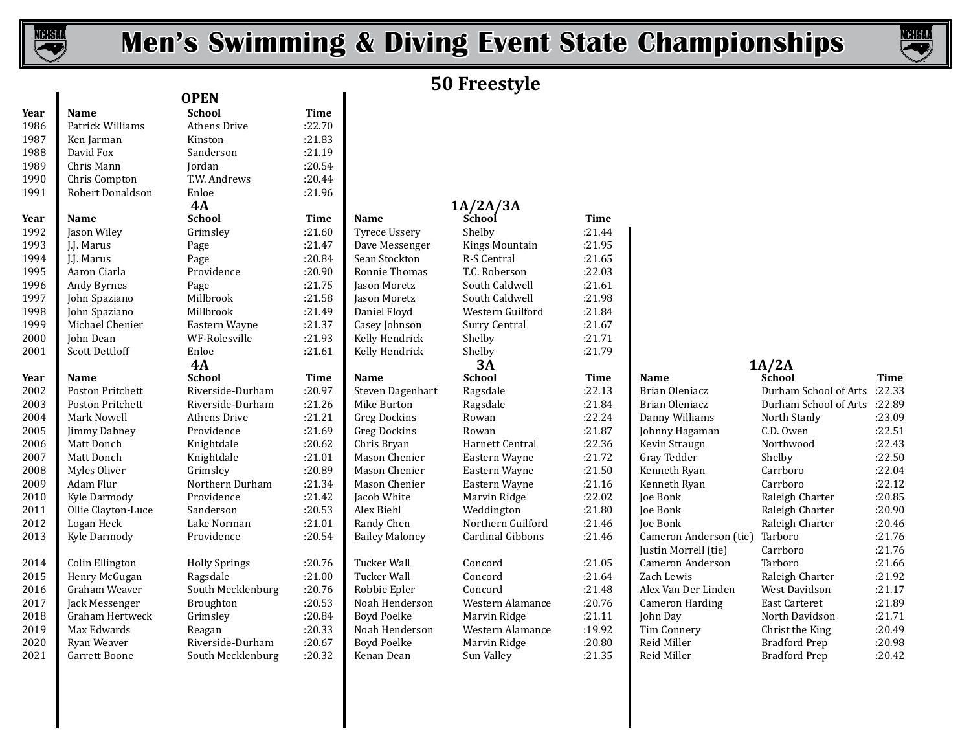

 $\mathbf{I}$ 

# **Men's Swimming & Diving Event State Championships**



# **50 Freestyle**

| Year | <b>Name</b>            | <b>School</b>        | <b>Time</b> |                       |                   |             |                        |                       |             |
|------|------------------------|----------------------|-------------|-----------------------|-------------------|-------------|------------------------|-----------------------|-------------|
| 1986 | Patrick Williams       | Athens Drive         | :22.70      |                       |                   |             |                        |                       |             |
| 1987 | Ken Jarman             | Kinston              | :21.83      |                       |                   |             |                        |                       |             |
| 1988 | David Fox              | Sanderson            | :21.19      |                       |                   |             |                        |                       |             |
| 1989 | Chris Mann             | Jordan               | :20.54      |                       |                   |             |                        |                       |             |
| 1990 | Chris Compton          | T.W. Andrews         | :20.44      |                       |                   |             |                        |                       |             |
| 1991 | Robert Donaldson       | Enloe                | :21.96      |                       |                   |             |                        |                       |             |
|      |                        | 4A                   |             |                       | 1A/2A/3A          |             |                        |                       |             |
| Year | Name                   | <b>School</b>        | <b>Time</b> | Name                  | School            | <b>Time</b> |                        |                       |             |
| 1992 | Jason Wiley            | Grimsley             | :21.60      | <b>Tyrece Ussery</b>  | Shelby            | :21.44      |                        |                       |             |
| 1993 | J.J. Marus             | Page                 | :21.47      | Dave Messenger        | Kings Mountain    | :21.95      |                        |                       |             |
| 1994 | J.J. Marus             | Page                 | :20.84      | Sean Stockton         | R-S Central       | :21.65      |                        |                       |             |
| 1995 | Aaron Ciarla           | Providence           | :20.90      | Ronnie Thomas         | T.C. Roberson     | :22.03      |                        |                       |             |
| 1996 | Andy Byrnes            | Page                 | :21.75      | Jason Moretz          | South Caldwell    | :21.61      |                        |                       |             |
| 1997 | John Spaziano          | Millbrook            | :21.58      | Jason Moretz          | South Caldwell    | :21.98      |                        |                       |             |
| 1998 | John Spaziano          | Millbrook            | :21.49      | Daniel Floyd          | Western Guilford  | :21.84      |                        |                       |             |
| 1999 | Michael Chenier        | Eastern Wayne        | :21.37      | Casey Johnson         | Surry Central     | :21.67      |                        |                       |             |
| 2000 | John Dean              | WF-Rolesville        | :21.93      | Kelly Hendrick        | Shelby            | :21.71      |                        |                       |             |
| 2001 | <b>Scott Dettloff</b>  | Enloe                | :21.61      | Kelly Hendrick        | Shelby            | :21.79      |                        |                       |             |
|      |                        | 4A                   |             |                       | 3A                |             |                        | 1A/2A                 |             |
| Year | Name                   | <b>School</b>        | <b>Time</b> | Name                  | <b>School</b>     | Time        | <b>Name</b>            | School                | <b>Time</b> |
| 2002 | Poston Pritchett       | Riverside-Durham     | :20.97      | Steven Dagenhart      | Ragsdale          | :22.13      | Brian Oleniacz         | Durham School of Arts | :22.33      |
| 2003 | Poston Pritchett       | Riverside-Durham     | :21.26      | Mike Burton           | Ragsdale          | :21.84      | Brian Oleniacz         | Durham School of Arts | :22.89      |
| 2004 | Mark Nowell            | Athens Drive         | :21.21      | <b>Greg Dockins</b>   | Rowan             | :22.24      | Danny Williams         | North Stanly          | :23.09      |
| 2005 | <b>Jimmy Dabney</b>    | Providence           | :21.69      | <b>Greg Dockins</b>   | Rowan             | :21.87      | Johnny Hagaman         | C.D. Owen             | :22.51      |
| 2006 | Matt Donch             | Knightdale           | :20.62      | Chris Bryan           | Harnett Central   | :22.36      | Kevin Straugn          | Northwood             | :22.43      |
| 2007 | Matt Donch             | Knightdale           | :21.01      | Mason Chenier         | Eastern Wayne     | :21.72      | Gray Tedder            | Shelby                | :22.50      |
| 2008 | Myles Oliver           | Grimsley             | :20.89      | Mason Chenier         | Eastern Wayne     | :21.50      | Kenneth Ryan           | Carrboro              | :22.04      |
| 2009 | Adam Flur              | Northern Durham      | :21.34      | Mason Chenier         | Eastern Wayne     | :21.16      | Kenneth Ryan           | Carrboro              | :22.12      |
| 2010 | Kyle Darmody           | Providence           | :21.42      | Jacob White           | Marvin Ridge      | :22.02      | Joe Bonk               | Raleigh Charter       | :20.85      |
| 2011 | Ollie Clayton-Luce     | Sanderson            | :20.53      | Alex Biehl            | Weddington        | :21.80      | <b>Joe Bonk</b>        | Raleigh Charter       | :20.90      |
| 2012 | Logan Heck             | Lake Norman          | :21.01      | Randy Chen            | Northern Guilford | :21.46      | Joe Bonk               | Raleigh Charter       | :20.46      |
| 2013 | Kyle Darmody           | Providence           | :20.54      | <b>Bailey Maloney</b> | Cardinal Gibbons  | :21.46      | Cameron Anderson (tie) | Tarboro               | :21.76      |
|      |                        |                      |             |                       |                   |             | Justin Morrell (tie)   | Carrboro              | :21.76      |
| 2014 | Colin Ellington        | <b>Holly Springs</b> | :20.76      | <b>Tucker Wall</b>    | Concord           | :21.05      | Cameron Anderson       | Tarboro               | :21.66      |
| 2015 | Henry McGugan          | Ragsdale             | :21.00      | <b>Tucker Wall</b>    | Concord           | :21.64      | Zach Lewis             | Raleigh Charter       | :21.92      |
| 2016 | Graham Weaver          | South Mecklenburg    | :20.76      | Robbie Epler          | Concord           | :21.48      | Alex Van Der Linden    | West Davidson         | :21.17      |
| 2017 | Jack Messenger         | Broughton            | :20.53      | Noah Henderson        | Western Alamance  | :20.76      | <b>Cameron Harding</b> | <b>East Carteret</b>  | :21.89      |
| 2018 | <b>Graham Hertweck</b> | Grimsley             | :20.84      | <b>Boyd Poelke</b>    | Marvin Ridge      | :21.11      | John Day               | North Davidson        | :21.71      |
| 2019 | Max Edwards            | Reagan               | :20.33      | Noah Henderson        | Western Alamance  | :19.92      | Tim Connery            | Christ the King       | :20.49      |
| 2020 | Ryan Weaver            | Riverside-Durham     | :20.67      | <b>Boyd Poelke</b>    | Marvin Ridge      | :20.80      | Reid Miller            | <b>Bradford Prep</b>  | :20.98      |
| 2021 | Garrett Boone          | South Mecklenburg    | :20.32      | Kenan Dean            | Sun Valley        | :21.35      | Reid Miller            | <b>Bradford Prep</b>  | :20.42      |
|      |                        |                      |             |                       |                   |             |                        |                       |             |

| <b>OPEN</b>          |             |                       | $0 + 1000$        |
|----------------------|-------------|-----------------------|-------------------|
| <b>School</b>        | Time        |                       |                   |
| <b>Athens Drive</b>  | :22.70      |                       |                   |
| Kinston              | :21.83      |                       |                   |
| Sanderson            | :21.19      |                       |                   |
| Jordan               | :20.54      |                       |                   |
| T.W. Andrews         | :20.44      |                       |                   |
| Enloe                | :21.96      |                       |                   |
| 4A                   |             |                       | 1A/2A/3A          |
| <b>School</b>        | Time        | <b>Name</b>           | School            |
| Grimslev             | :21.60      | <b>Tyrece Ussery</b>  | Shelby            |
| Page                 | :21.47      | Dave Messenger        | <b>Kings Moun</b> |
| Page                 | :20.84      | Sean Stockton         | R-S Central       |
| Providence           | :20.90      | Ronnie Thomas         | T.C. Roberso      |
| Page                 | :21.75      | Jason Moretz          | South Caldw       |
| Millbrook            | :21.58      | Jason Moretz          | South Caldw       |
| Millbrook            | :21.49      | Daniel Floyd          | Western Gui       |
| Eastern Wayne        | :21.37      | Casey Johnson         | Surry Centra      |
| WF-Rolesville        | :21.93      | Kelly Hendrick        | Shelby            |
| Enloe                | :21.61      | Kelly Hendrick        | Shelby            |
| 4A                   |             |                       | 3A                |
| School               | <b>Time</b> | Name                  | School            |
| Riverside-Durham     | :20.97      | Steven Dagenhart      | Ragsdale          |
| Riverside-Durham     | :21.26      | Mike Burton           | Ragsdale          |
| <b>Athens Drive</b>  | :21.21      | <b>Greg Dockins</b>   | Rowan             |
| Providence           | :21.69      | <b>Greg Dockins</b>   | Rowan             |
| Knightdale           | :20.62      | Chris Bryan           | Harnett Cen       |
| Knightdale           | :21.01      | Mason Chenier         | Eastern Way       |
| Grimsley             | :20.89      | Mason Chenier         | Eastern Way       |
| Northern Durham      | :21.34      | Mason Chenier         | Eastern Way       |
| Providence           | :21.42      | Jacob White           | Marvin Ridg       |
| Sanderson            | :20.53      | Alex Biehl            | Weddington        |
| Lake Norman          | :21.01      | Randy Chen            | Northern Gu       |
| Providence           | :20.54      | <b>Bailey Maloney</b> | Cardinal Gib      |
| <b>Holly Springs</b> | :20.76      | <b>Tucker Wall</b>    | Concord           |
| Ragsdale             | :21.00      | <b>Tucker Wall</b>    | Concord           |
| South Mecklenburg    | :20.76      | Robbie Epler          | Concord           |
| Broughton            | :20.53      | Noah Henderson        | Western Ala       |
| Grimsley             | :20.84      | <b>Boyd Poelke</b>    | Marvin Ridg       |
| Reagan               | :20.33      | Noah Henderson        | Western Ala       |
| Riverside-Durham     | :20.67      | <b>Boyd Poelke</b>    | Marvin Ridg       |
| South Mecklenburg    | .20.32      | Kenan Dean            | Sun Valley        |

| <b>*</b> , , , |                       |                      |        |                       |                   |             |                        |                       |             |
|----------------|-----------------------|----------------------|--------|-----------------------|-------------------|-------------|------------------------|-----------------------|-------------|
| 1990           | Chris Compton         | T.W. Andrews         | :20.44 |                       |                   |             |                        |                       |             |
| 1991           | Robert Donaldson      | Enloe                | :21.96 |                       |                   |             |                        |                       |             |
|                |                       | 4A                   |        |                       | 1A/2A/3A          |             |                        |                       |             |
| Year           | <b>Name</b>           | <b>School</b>        | Time   | <b>Name</b>           | School            | <b>Time</b> |                        |                       |             |
| 1992           | Jason Wiley           | Grimsley             | :21.60 | <b>Tyrece Ussery</b>  | Shelby            | : 21.44     |                        |                       |             |
| 1993           | I.I. Marus            | Page                 | :21.47 | Dave Messenger        | Kings Mountain    | :21.95      |                        |                       |             |
| 1994           | J.J. Marus            | Page                 | :20.84 | Sean Stockton         | R-S Central       | :21.65      |                        |                       |             |
| 1995           | Aaron Ciarla          | Providence           | :20.90 | Ronnie Thomas         | T.C. Roberson     | :22.03      |                        |                       |             |
| 1996           | Andy Byrnes           | Page                 | :21.75 | Jason Moretz          | South Caldwell    | :21.61      |                        |                       |             |
| 1997           | John Spaziano         | Millbrook            | :21.58 | Jason Moretz          | South Caldwell    | :21.98      |                        |                       |             |
| 1998           | John Spaziano         | Millbrook            | :21.49 | Daniel Floyd          | Western Guilford  | :21.84      |                        |                       |             |
| 1999           | Michael Chenier       | Eastern Wayne        | :21.37 | Casey Johnson         | Surry Central     | :21.67      |                        |                       |             |
| 2000           | John Dean             | WF-Rolesville        | :21.93 | Kelly Hendrick        | Shelby            | :21.71      |                        |                       |             |
| 2001           | <b>Scott Dettloff</b> | Enloe                | :21.61 | Kelly Hendrick        | Shelby            | :21.79      |                        |                       |             |
|                |                       | 4A                   |        |                       | 3A                |             |                        | 1A/2A                 |             |
| Year           | <b>Name</b>           | <b>School</b>        | Time   | Name                  | <b>School</b>     | Time        | <b>Name</b>            | School                | <b>Time</b> |
| 2002           | Poston Pritchett      | Riverside-Durham     | :20.97 | Steven Dagenhart      | Ragsdale          | :22.13      | Brian Oleniacz         | Durham School of Arts | :22.33      |
| 2003           | Poston Pritchett      | Riverside-Durham     | :21.26 | Mike Burton           | Ragsdale          | :21.84      | Brian Oleniacz         | Durham School of Arts | :22.89      |
| 2004           | Mark Nowell           | <b>Athens Drive</b>  | :21.21 | Greg Dockins          | Rowan             | :22.24      | Danny Williams         | North Stanly          | :23.09      |
| 2005           | Jimmy Dabney          | Providence           | :21.69 | Greg Dockins          | Rowan             | :21.87      | Johnny Hagaman         | C.D. Owen             | :22.51      |
| 2006           | Matt Donch            | Knightdale           | :20.62 | Chris Bryan           | Harnett Central   | :22.36      | Kevin Straugn          | Northwood             | :22.43      |
| 2007           | Matt Donch            | Knightdale           | :21.01 | Mason Chenier         | Eastern Wayne     | :21.72      | Gray Tedder            | Shelby                | :22.50      |
| 2008           | Myles Oliver          | Grimsley             | :20.89 | Mason Chenier         | Eastern Wayne     | :21.50      | Kenneth Ryan           | Carrboro              | :22.04      |
| 2009           | Adam Flur             | Northern Durham      | :21.34 | Mason Chenier         | Eastern Wayne     | :21.16      | Kenneth Ryan           | Carrboro              | :22.12      |
| 2010           | Kyle Darmody          | Providence           | :21.42 | Jacob White           | Marvin Ridge      | :22.02      | Joe Bonk               | Raleigh Charter       | :20.85      |
| 2011           | Ollie Clayton-Luce    | Sanderson            | :20.53 | Alex Biehl            | Weddington        | :21.80      | Joe Bonk               | Raleigh Charter       | :20.90      |
| 2012           | Logan Heck            | Lake Norman          | :21.01 | Randy Chen            | Northern Guilford | :21.46      | Joe Bonk               | Raleigh Charter       | :20.46      |
| 2013           | Kyle Darmody          | Providence           | :20.54 | <b>Bailey Maloney</b> | Cardinal Gibbons  | :21.46      | Cameron Anderson (tie) | Tarboro               | :21.76      |
|                |                       |                      |        |                       |                   |             | Justin Morrell (tie)   | Carrboro              | :21.76      |
| 2014           | Colin Ellington       | <b>Holly Springs</b> | :20.76 | <b>Tucker Wall</b>    | Concord           | :21.05      | Cameron Anderson       | Tarboro               | :21.66      |
| 2015           | Henry McGugan         | Ragsdale             | :21.00 | Tucker Wall           | Concord           | :21.64      | Zach Lewis             | Raleigh Charter       | :21.92      |
| 2016           | Graham Weaver         | South Mecklenburg    | :20.76 | Robbie Epler          | Concord           | :21.48      | Alex Van Der Linden    | West Davidson         | :21.17      |
| 2017           | Jack Messenger        | Broughton            | :20.53 | Noah Henderson        | Western Alamance  | :20.76      | Cameron Harding        | <b>East Carteret</b>  | :21.89      |
| 2018           | Graham Hertweck       | Grimsley             | :20.84 | <b>Boyd Poelke</b>    | Marvin Ridge      | :21.11      | John Day               | North Davidson        | :21.71      |
| 2019           | Max Edwards           | Reagan               | :20.33 | Noah Henderson        | Western Alamance  | :19.92      | Tim Connery            | Christ the King       | :20.49      |
| 2020           | Ryan Weaver           | Riverside-Durham     | :20.67 | Boyd Poelke           | Marvin Ridge      | :20.80      | Reid Miller            | <b>Bradford Prep</b>  | :20.98      |
| 2021           | Garrett Boone         | South Mecklenburg    | :20.32 | Kenan Dean            | Sun Valley        | :21.35      | Reid Miller            | <b>Bradford Prep</b>  | :20.42      |

|       | School                       | Time    |
|-------|------------------------------|---------|
|       | 22.33: Durham School of Arts |         |
|       | 22.89: Durham School of Arts |         |
|       | North Stanly                 | :23.09  |
|       | C.D. Owen                    | :22.51  |
|       | Northwood                    | :22.43  |
|       | Shelby                       | :22.50  |
|       | Carrboro                     | :22.04  |
|       | Carrboro                     | :22.12  |
|       | Raleigh Charter              | :20.85  |
|       | Raleigh Charter              | :20.90  |
|       | Raleigh Charter              | : 20.46 |
| (tie) | Tarboro                      | :21.76  |
|       | Carrboro                     | :21.76  |
|       | Tarboro                      | :21.66  |
|       | Raleigh Charter              | :21.92  |
|       | West Davidson                | :21.17  |
|       | East Carteret                | :21.89  |
|       | North Davidson               | :21.71  |
|       | Christ the King              | :20.49  |
|       | <b>Bradford Prep</b>         | :20.98  |
|       | Bradford Prep                | :20.42  |
|       |                              |         |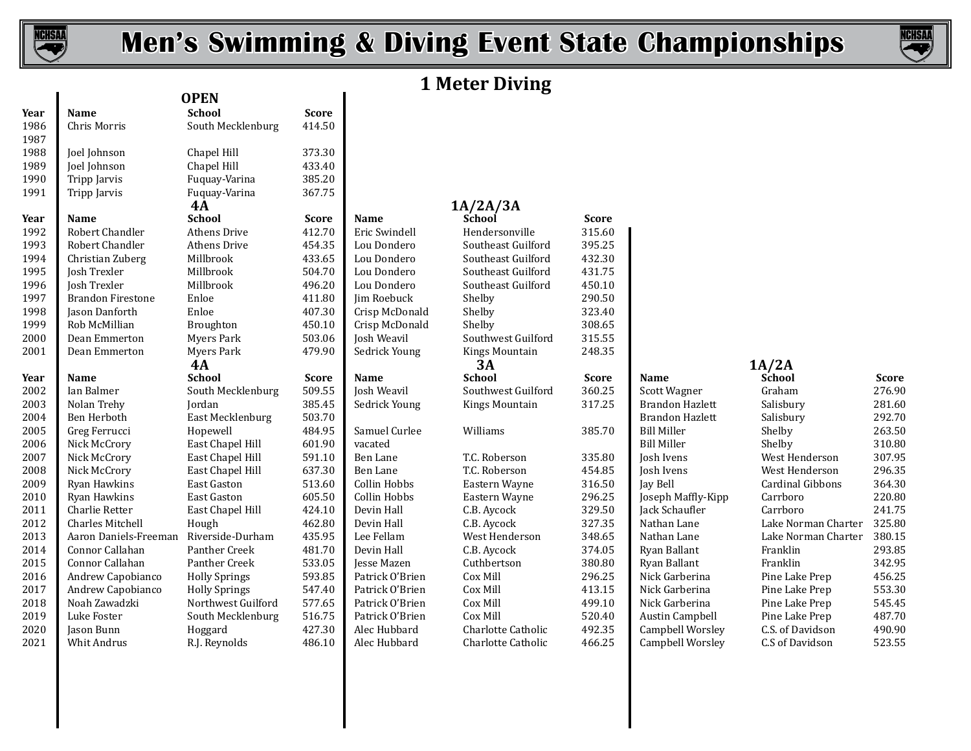

 $\blacksquare$ 

# **Men's Swimming & Diving Event State Championships**



# **1 Meter Diving**

|              |                          | <b>OPEN</b>          |              |                    |                    |              |                        |                         |              |
|--------------|--------------------------|----------------------|--------------|--------------------|--------------------|--------------|------------------------|-------------------------|--------------|
| Year         | Name                     | <b>School</b>        | <b>Score</b> |                    |                    |              |                        |                         |              |
| 1986<br>1987 | Chris Morris             | South Mecklenburg    | 414.50       |                    |                    |              |                        |                         |              |
| 1988         | Joel Johnson             | Chapel Hill          | 373.30       |                    |                    |              |                        |                         |              |
| 1989         | Joel Johnson             | Chapel Hill          | 433.40       |                    |                    |              |                        |                         |              |
| 1990         | Tripp Jarvis             | Fuquay-Varina        | 385.20       |                    |                    |              |                        |                         |              |
| 1991         | Tripp Jarvis             | Fuquay-Varina        | 367.75       |                    |                    |              |                        |                         |              |
|              |                          | <b>4A</b>            |              |                    | 1A/2A/3A           |              |                        |                         |              |
| Year         | Name                     | <b>School</b>        | <b>Score</b> | Name               | School             | <b>Score</b> |                        |                         |              |
| 1992         | Robert Chandler          | <b>Athens Drive</b>  | 412.70       | Eric Swindell      | Hendersonville     | 315.60       |                        |                         |              |
| 1993         | Robert Chandler          | Athens Drive         | 454.35       | Lou Dondero        | Southeast Guilford | 395.25       |                        |                         |              |
| 1994         | Christian Zuberg         | Millbrook            | 433.65       | Lou Dondero        | Southeast Guilford | 432.30       |                        |                         |              |
| 1995         | Josh Trexler             | Millbrook            | 504.70       | Lou Dondero        | Southeast Guilford | 431.75       |                        |                         |              |
| 1996         | Josh Trexler             | Millbrook            | 496.20       | Lou Dondero        | Southeast Guilford | 450.10       |                        |                         |              |
| 1997         | <b>Brandon Firestone</b> | Enloe                | 411.80       | Jim Roebuck        | Shelby             | 290.50       |                        |                         |              |
| 1998         | Jason Danforth           | Enloe                | 407.30       | Crisp McDonald     | Shelby             | 323.40       |                        |                         |              |
| 1999         | Rob McMillian            | Broughton            | 450.10       | Crisp McDonald     | Shelby             | 308.65       |                        |                         |              |
| 2000         | Dean Emmerton            | Myers Park           | 503.06       | Josh Weavil        | Southwest Guilford | 315.55       |                        |                         |              |
| 2001         | Dean Emmerton            | Myers Park           | 479.90       | Sedrick Young      | Kings Mountain     | 248.35       |                        |                         |              |
|              |                          | 4A                   |              |                    | 3A                 |              |                        | 1A/2A                   |              |
| Year         | Name                     | <b>School</b>        | <b>Score</b> | Name               | <b>School</b>      | <b>Score</b> | Name                   | School                  | <b>Score</b> |
|              | Ian Balmer               | South Mecklenburg    | 509.55       | Josh Weavil        | Southwest Guilford | 360.25       | Scott Wagner           | Graham                  | 276.90       |
| 2002         |                          |                      |              |                    |                    |              |                        |                         |              |
| 2003         | Nolan Trehy              | Jordan               | 385.45       | Sedrick Young      | Kings Mountain     | 317.25       | Brandon Hazlett        | Salisbury               | 281.60       |
| 2004         | Ben Herboth              | East Mecklenburg     | 503.70       |                    |                    |              | <b>Brandon Hazlett</b> | Salisbury               | 292.70       |
| 2005         | Greg Ferrucci            | Hopewell             | 484.95       | Samuel Curlee      | Williams           | 385.70       | <b>Bill Miller</b>     | Shelby                  | 263.50       |
| 2006         | Nick McCrory             | East Chapel Hill     | 601.90       | vacated            |                    |              | <b>Bill Miller</b>     | Shelby                  | 310.80       |
| 2007         | Nick McCrory             | East Chapel Hill     | 591.10       | <b>Ben Lane</b>    | T.C. Roberson      | 335.80       | Josh Ivens             | West Henderson          | 307.95       |
| 2008         | Nick McCrory             | East Chapel Hill     | 637.30       | <b>Ben Lane</b>    | T.C. Roberson      | 454.85       | Josh Ivens             | West Henderson          | 296.35       |
| 2009         | Ryan Hawkins             | East Gaston          | 513.60       | Collin Hobbs       | Eastern Wayne      | 316.50       | Jay Bell               | <b>Cardinal Gibbons</b> | 364.30       |
| 2010         | Ryan Hawkins             | East Gaston          | 605.50       | Collin Hobbs       | Eastern Wayne      | 296.25       | Joseph Maffly-Kipp     | Carrboro                | 220.80       |
| 2011         | Charlie Retter           | East Chapel Hill     | 424.10       | Devin Hall         | C.B. Aycock        | 329.50       | Jack Schaufler         | Carrboro                | 241.75       |
| 2012         | <b>Charles Mitchell</b>  | Hough                | 462.80       | Devin Hall         | C.B. Aycock        | 327.35       | Nathan Lane            | Lake Norman Charter     | 325.80       |
| 2013         | Aaron Daniels-Freeman    | Riverside-Durham     | 435.95       | Lee Fellam         | West Henderson     | 348.65       | Nathan Lane            | Lake Norman Charter     | 380.15       |
| 2014         | Connor Callahan          | Panther Creek        | 481.70       | Devin Hall         | C.B. Aycock        | 374.05       | Ryan Ballant           | Franklin                | 293.85       |
| 2015         | Connor Callahan          | Panther Creek        | 533.05       | <b>Jesse Mazen</b> | Cuthbertson        | 380.80       | Ryan Ballant           | Franklin                | 342.95       |
| 2016         | Andrew Capobianco        | <b>Holly Springs</b> | 593.85       | Patrick O'Brien    | Cox Mill           | 296.25       | Nick Garberina         | Pine Lake Prep          | 456.25       |
| 2017         | Andrew Capobianco        | <b>Holly Springs</b> | 547.40       | Patrick O'Brien    | Cox Mill           | 413.15       | Nick Garberina         | Pine Lake Prep          | 553.30       |
| 2018         | Noah Zawadzki            | Northwest Guilford   | 577.65       | Patrick O'Brien    | Cox Mill           | 499.10       | Nick Garberina         | Pine Lake Prep          | 545.45       |
| 2019         | Luke Foster              | South Mecklenburg    | 516.75       | Patrick O'Brien    | Cox Mill           | 520.40       | <b>Austin Campbell</b> | Pine Lake Prep          | 487.70       |
| 2020         | Jason Bunn               | Hoggard              | 427.30       | Alec Hubbard       | Charlotte Catholic | 492.35       | Campbell Worsley       | C.S. of Davidson        | 490.90       |

| klenburg      | <b>Score</b><br>414.50 |                |
|---------------|------------------------|----------------|
|               |                        |                |
|               | 373.30                 |                |
|               | 433.40                 |                |
| rina          | 385.20                 |                |
| rina          | 367.75                 |                |
|               | <b>Score</b>           | N              |
| ve            | 412.70                 | E <sub>1</sub> |
| ve            | 454.35                 | L              |
|               | 433.65                 | L              |
|               | 504.70                 | L              |
|               | 496.20                 | L              |
|               | 411.80                 | Jii            |
|               | 407.30                 | $\mathsf{C}$   |
|               | 450.10                 | $\mathsf{C}$   |
| Ċ             | 503.06                 | Jc             |
| Ç             | 479.90                 | $S_6$          |
|               | <b>Score</b>           | N              |
| klenburg      | 509.55                 | Ic             |
|               | 385.45                 | $S_6$          |
| enburg        | 503.70                 |                |
|               | 484.95                 | S              |
| l Hill        | 601.90                 | Vć             |
| l Hill        | 591.10                 | $\overline{B}$ |
| l Hill        | 637.30                 | B              |
| n             | 513.60                 | C              |
| n             | 605.50                 | $\mathsf{C}$   |
| l Hill        | 424.10                 | D              |
|               | 462.80                 | D              |
| <b>Durham</b> | 435.95                 | L(             |
| eek           | 481.70                 | D              |
| eek           | 533.05                 | Je             |
| igs           | 593.85                 | $P_i$          |
| igs           | 547.40                 | $P_{i}$        |
| Guilford      | 577.65                 | $P_{i}$        |
| klenburg      |                        |                |
|               | 516.75                 | $P_{i}$        |
|               | 427.30                 | A              |

# **4A 1A/2A/3A**

# 2000 Southwest Guilford<br>2001 Edrick Young The Southwest Guilford **4A 3A 1A/2A**

| 315.60<br>395.25<br>432.30<br>431.75<br>450.10<br>290.50<br>323.40<br>308.65 |                                  |
|------------------------------------------------------------------------------|----------------------------------|
| 315.55<br>248.35                                                             |                                  |
| <b>Score</b>                                                                 | Name                             |
| 360.25                                                                       | Scott V                          |
| 317.25                                                                       | <b>Brando</b>                    |
| 385.70                                                                       | <b>Brando</b><br><b>Bill Mil</b> |
|                                                                              | <b>Bill Mil</b>                  |
| 335.80                                                                       | Josh Iv                          |
| 454.85                                                                       | Josh Iv                          |
| 316.50                                                                       | Jay Bel                          |
| 296.25                                                                       | Joseph                           |
| 329.50                                                                       | Jack Sc                          |
| 327.35                                                                       | Nathar                           |
| 348.65                                                                       | Nathar                           |
| 374.05                                                                       | Ryan B                           |
| 380.80                                                                       | Ryan B                           |
| 296.25                                                                       | Nick Ga                          |
| 413.15<br>499.10                                                             | Nick Ga<br>Nick Ga               |
| 520.40                                                                       | Austin                           |
| 492.35                                                                       | Campb                            |
|                                                                              |                                  |

| Graham              | 276.90 |
|---------------------|--------|
| Salisbury           | 281.60 |
| Salisbury           | 292.70 |
| Shelby              | 263.50 |
| Shelby              | 310.80 |
| West Henderson      | 307.95 |
| West Henderson      | 296.35 |
| Cardinal Gibbons    | 364.30 |
| Carrboro            | 220.80 |
| Carrboro            | 241.75 |
| Lake Norman Charter | 325.80 |
| Lake Norman Charter | 380.15 |
| Franklin            | 293.85 |
| Franklin            | 342.95 |
| Pine Lake Prep      | 456.25 |
| Pine Lake Prep      | 553.30 |
| Pine Lake Prep      | 545.45 |
| Pine Lake Prep      | 487.70 |
| C.S. of Davidson    | 490.90 |
| C.S of Davidson     | 523.55 |
|                     |        |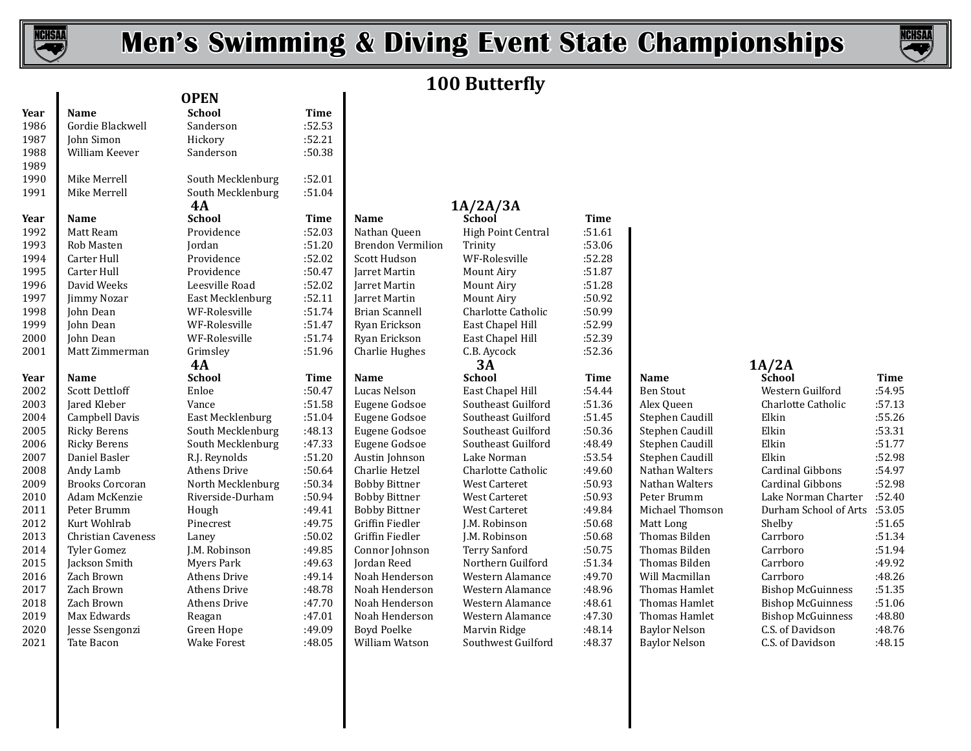

 $\overline{\phantom{a}}$ 

# **Men's Swimming & Diving Event State Championships**



# **100 Butterfly**

| Year | Name                   | <b>School</b>       | <b>Time</b> |                          |                      |             |                      |                          |        |
|------|------------------------|---------------------|-------------|--------------------------|----------------------|-------------|----------------------|--------------------------|--------|
| 1986 | Gordie Blackwell       | Sanderson           | :52.53      |                          |                      |             |                      |                          |        |
| 1987 | John Simon             | Hickory             | :52.21      |                          |                      |             |                      |                          |        |
| 1988 | William Keever         | Sanderson           | :50.38      |                          |                      |             |                      |                          |        |
| 1989 |                        |                     |             |                          |                      |             |                      |                          |        |
| 1990 | Mike Merrell           | South Mecklenburg   | :52.01      |                          |                      |             |                      |                          |        |
| 1991 | Mike Merrell           | South Mecklenburg   | :51.04      |                          |                      |             |                      |                          |        |
|      |                        | <b>4A</b>           |             |                          | 1A/2A/3A             |             |                      |                          |        |
| Year | Name                   | <b>School</b>       | <b>Time</b> | Name                     | <b>School</b>        | <b>Time</b> |                      |                          |        |
| 1992 | Matt Ream              | Providence          | :52.03      | Nathan Queen             | High Point Central   | :51.61      |                      |                          |        |
| 1993 | Rob Masten             | Jordan              | :51.20      | <b>Brendon Vermilion</b> | Trinity              | :53.06      |                      |                          |        |
| 1994 | Carter Hull            | Providence          | :52.02      | Scott Hudson             | WF-Rolesville        | :52.28      |                      |                          |        |
| 1995 | Carter Hull            | Providence          | :50.47      | Jarret Martin            | Mount Airy           | :51.87      |                      |                          |        |
| 1996 | David Weeks            | Leesville Road      | :52.02      | Jarret Martin            | Mount Airy           | :51.28      |                      |                          |        |
| 1997 | <b>Jimmy Nozar</b>     | East Mecklenburg    | :52.11      | Jarret Martin            | Mount Airy           | :50.92      |                      |                          |        |
| 1998 | John Dean              | WF-Rolesville       | :51.74      | <b>Brian Scannell</b>    | Charlotte Catholic   | :50.99      |                      |                          |        |
| 1999 | John Dean              | WF-Rolesville       | :51.47      | Ryan Erickson            | East Chapel Hill     | :52.99      |                      |                          |        |
| 2000 | John Dean              | WF-Rolesville       | :51.74      | Ryan Erickson            | East Chapel Hill     | :52.39      |                      |                          |        |
| 2001 | Matt Zimmerman         | Grimsley            | :51.96      | Charlie Hughes           | C.B. Aycock          | :52.36      |                      |                          |        |
|      |                        | 4A                  |             |                          | 3A                   |             |                      | 1A/2A                    |        |
| Year | <b>Name</b>            | <b>School</b>       | Time        | <b>Name</b>              | <b>School</b>        | <b>Time</b> | Name                 | <b>School</b>            | Time   |
| 2002 | <b>Scott Dettloff</b>  | Enloe               | :50.47      | Lucas Nelson             | East Chapel Hill     | :54.44      | <b>Ben Stout</b>     | Western Guilford         | :54.95 |
| 2003 | Jared Kleber           | Vance               | :51.58      | Eugene Godsoe            | Southeast Guilford   | :51.36      | Alex Queen           | Charlotte Catholic       | :57.13 |
| 2004 | Campbell Davis         | East Mecklenburg    | :51.04      | Eugene Godsoe            | Southeast Guilford   | :51.45      | Stephen Caudill      | Elkin                    | :55.26 |
| 2005 | <b>Ricky Berens</b>    | South Mecklenburg   | :48.13      | Eugene Godsoe            | Southeast Guilford   | :50.36      | Stephen Caudill      | Elkin                    | :53.31 |
| 2006 | <b>Ricky Berens</b>    | South Mecklenburg   | :47.33      | Eugene Godsoe            | Southeast Guilford   | :48.49      | Stephen Caudill      | Elkin                    | :51.77 |
| 2007 | Daniel Basler          | R.J. Reynolds       | :51.20      | Austin Johnson           | Lake Norman          | :53.54      | Stephen Caudill      | Elkin                    | :52.98 |
| 2008 | Andy Lamb              | Athens Drive        | :50.64      | Charlie Hetzel           | Charlotte Catholic   | :49.60      | Nathan Walters       | Cardinal Gibbons         | :54.97 |
| 2009 | <b>Brooks Corcoran</b> | North Mecklenburg   | :50.34      | <b>Bobby Bittner</b>     | West Carteret        | :50.93      | Nathan Walters       | <b>Cardinal Gibbons</b>  | :52.98 |
| 2010 | Adam McKenzie          | Riverside-Durham    | :50.94      | <b>Bobby Bittner</b>     | West Carteret        | :50.93      | Peter Brumm          | Lake Norman Charter      | :52.40 |
| 2011 | Peter Brumm            | Hough               | :49.41      | <b>Bobby Bittner</b>     | West Carteret        | :49.84      | Michael Thomson      | Durham School of Arts    | :53.05 |
| 2012 | Kurt Wohlrab           | Pinecrest           | :49.75      | Griffin Fiedler          | J.M. Robinson        | :50.68      | Matt Long            | Shelby                   | :51.65 |
| 2013 | Christian Caveness     | Laney               | :50.02      | Griffin Fiedler          | J.M. Robinson        | :50.68      | Thomas Bilden        | Carrboro                 | :51.34 |
| 2014 | <b>Tyler Gomez</b>     | J.M. Robinson       | :49.85      | Connor Johnson           | <b>Terry Sanford</b> | :50.75      | Thomas Bilden        | Carrboro                 | :51.94 |
| 2015 | Jackson Smith          | Myers Park          | :49.63      | Jordan Reed              | Northern Guilford    | :51.34      | Thomas Bilden        | Carrboro                 | :49.92 |
| 2016 | Zach Brown             | Athens Drive        | :49.14      | Noah Henderson           | Western Alamance     | :49.70      | Will Macmillan       | Carrboro                 | :48.26 |
| 2017 | Zach Brown             | <b>Athens Drive</b> | :48.78      | Noah Henderson           | Western Alamance     | :48.96      | Thomas Hamlet        | <b>Bishop McGuinness</b> | :51.35 |
| 2018 | Zach Brown             | <b>Athens Drive</b> | :47.70      | Noah Henderson           | Western Alamance     | :48.61      | Thomas Hamlet        | <b>Bishop McGuinness</b> | :51.06 |
| 2019 | Max Edwards            | Reagan              | :47.01      | Noah Henderson           | Western Alamance     | :47.30      | Thomas Hamlet        | <b>Bishop McGuinness</b> | :48.80 |
| 2020 | Jesse Ssengonzi        | Green Hope          | :49.09      | <b>Boyd Poelke</b>       | Marvin Ridge         | :48.14      | <b>Baylor Nelson</b> | C.S. of Davidson         | :48.76 |
| 2021 | Tate Bacon             | <b>Wake Forest</b>  | :48.05      | William Watson           | Southwest Guilford   | :48.37      | <b>Baylor Nelson</b> | C.S. of Davidson         | :48.15 |

| <b>OPEN</b>          |                |
|----------------------|----------------|
| <b>School</b>        | Tim            |
| Sanderson            | :52.5          |
| Hickory              | :52.2          |
| Sanderson            | :50.3          |
| South Mecklenburg    | :52.0          |
| South Mecklenburg    | :51.0          |
| 4A                   |                |
| <b>School</b>        | Tim            |
| Providence           | :52.0          |
| Jordan               | :51.2          |
| Providence           | :52.0          |
| Providence           | :50.4          |
| Leesville Road       | :52.0          |
| East Mecklenburg     | :52.1          |
| WF-Rolesville        | :51.7          |
| WF-Rolesville        | :51.4          |
| WF-Rolesville        | :51.7          |
| Grimsley             | :51.9          |
| 4A                   |                |
|                      |                |
| <b>School</b>        | Tim            |
| Enloe                | :50.4          |
| Vance                | :51.5          |
| East Mecklenburg     | :51.0          |
| South Mecklenburg    | :48.1          |
| South Mecklenburg    | :47.3          |
| R.J. Reynolds        | :51.2          |
| <b>Athens Drive</b>  | :50.6          |
| North Mecklenburg    | :50.3          |
| Riverside-Durham     | :50.9          |
| Hough                | :49.4          |
| Pinecrest            | :49.7          |
| Laney                | :50.0          |
| J.M. Robinson        | :49.8          |
| Myers Park           | :49.6          |
| <b>Athens Drive</b>  | :49.1          |
| <b>Athens Drive</b>  | :48.7          |
| <b>Athens Drive</b>  | :47.7          |
| Reagan<br>Green Hope | :47.0<br>:49.0 |

| South Mecklenburg        | :51.04       |                          |                           |             |                      |         |
|--------------------------|--------------|--------------------------|---------------------------|-------------|----------------------|---------|
| 4А                       |              |                          | 1A/2A/3A                  |             |                      |         |
| ichool                   | <b>Time</b>  | Name                     | School                    | <b>Time</b> |                      |         |
| Providence               | :52.03       | Nathan Queen             | High Point Central        | :51.61      |                      |         |
| ordan                    | :51.20       | <b>Brendon Vermilion</b> | Trinity                   | :53.06      |                      |         |
| Providence               | :52.02       | Scott Hudson             | WF-Rolesville             | :52.28      |                      |         |
| Providence               | :50.47       | Jarret Martin            | <b>Mount Airy</b>         | :51.87      |                      |         |
| eesville Road            | :52.02       | Jarret Martin            | Mount Airy                | :51.28      |                      |         |
| ast Mecklenburg          | :52.11       | Jarret Martin            | Mount Airy                | :50.92      |                      |         |
| VF-Rolesville            | :51.74       | <b>Brian Scannell</b>    | Charlotte Catholic        | :50.99      |                      |         |
| VF-Rolesville            | :51.47       | Ryan Erickson            | East Chapel Hill          | :52.99      |                      |         |
| VF-Rolesville            | :51.74       | Ryan Erickson            | East Chapel Hill          | :52.39      |                      |         |
| <b>Frimsley</b>          | :51.96       | <b>Charlie Hughes</b>    | C.B. Aycock               | :52.36      |                      |         |
| 4А                       |              |                          | 3A                        |             |                      | 1A/2A   |
| <b>school</b>            | <b>Time</b>  | Name                     | <b>School</b>             | <b>Time</b> | Name                 | Schoo   |
| <b>Enloe</b>             | :50.47       | Lucas Nelson             | East Chapel Hill          | :54.44      | <b>Ben Stout</b>     | Wester  |
| /ance                    | :51.58       | Eugene Godsoe            | Southeast Guilford        | :51.36      | Alex Queen           | Charlo  |
| East Mecklenburg         | :51.04       | Eugene Godsoe            | Southeast Guilford        | :51.45      | Stephen Caudill      | Elkin   |
| South Mecklenburg        | :48.13       | Eugene Godsoe            | Southeast Guilford        | :50.36      | Stephen Caudill      | Elkin   |
| South Mecklenburg        | :47.33       | Eugene Godsoe            | Southeast Guilford        | :48.49      | Stephen Caudill      | Elkin   |
| र.J. Reynolds            | :51.20       | Austin Johnson           | Lake Norman               | :53.54      | Stephen Caudill      | Elkin   |
| Athens Drive             | :50.64       | Charlie Hetzel           | <b>Charlotte Catholic</b> | :49.60      | Nathan Walters       | Cardin  |
| <b>North Mecklenburg</b> | :50.34       | <b>Bobby Bittner</b>     | <b>West Carteret</b>      | :50.93      | Nathan Walters       | Cardin  |
| Riverside-Durham         | :50.94       | <b>Bobby Bittner</b>     | <b>West Carteret</b>      | :50.93      | Peter Brumm          | Lake N  |
| Jough                    | :49.41       | <b>Bobby Bittner</b>     | <b>West Carteret</b>      | :49.84      | Michael Thomson      | Durhai  |
| <sup>9</sup> inecrest    | :49.75       | Griffin Fiedler          | J.M. Robinson             | :50.68      | Matt Long            | Shelby  |
| aney                     | :50.02       | Griffin Fiedler          | J.M. Robinson             | :50.68      | Thomas Bilden        | Carrbo  |
| .M. Robinson             | :49.85       | Connor Johnson           | <b>Terry Sanford</b>      | :50.75      | Thomas Bilden        | Carrbo  |
| Myers Park               | :49.63       | Jordan Reed              | Northern Guilford         | :51.34      | Thomas Bilden        | Carrbo  |
| Athens Drive             | :49.14       | Noah Henderson           | Western Alamance          | :49.70      | Will Macmillan       | Carrbo  |
| Athens Drive             | :48.78       | Noah Henderson           | Western Alamance          | :48.96      | Thomas Hamlet        | Bishop  |
| Athens Drive             | :47.70       | Noah Henderson           | Western Alamance          | :48.61      | Thomas Hamlet        | Bishop  |
| <b>deagan</b>            | :47.01       | Noah Henderson           | Western Alamance          | :47.30      | Thomas Hamlet        | Bishop  |
| Green Hope               | :49.09       | <b>Boyd Poelke</b>       | Marvin Ridge              | :48.14      | <b>Baylor Nelson</b> | C.S. of |
| Nalzo Foroct             | $-4.8$ $0.5$ | William Watson           | Southwest Cuilford        | $-4.827$    | Raylor Nelson        | C S of  |

| School                   | Time   |
|--------------------------|--------|
| Western Guilford         | :54.95 |
| Charlotte Catholic       | :57.13 |
| Elkin                    | :55.26 |
| Elkin                    | :53.31 |
| Elkin                    | :51.77 |
| Elkin                    | :52.98 |
| Cardinal Gibbons         | :54.97 |
| Cardinal Gibbons         | :52.98 |
| Lake Norman Charter      | :52.40 |
| Durham School of Arts    | :53.05 |
| Shelby                   | :51.65 |
| Carrboro                 | :51.34 |
| Carrboro                 | :51.94 |
| Carrboro                 | :49.92 |
| Carrboro                 | :48.26 |
| <b>Bishop McGuinness</b> | :51.35 |
| <b>Bishop McGuinness</b> | :51.06 |
| <b>Bishop McGuinness</b> | :48.80 |
| C.S. of Davidson         | :48.76 |
| C.S. of Davidson         | :48.15 |
|                          |        |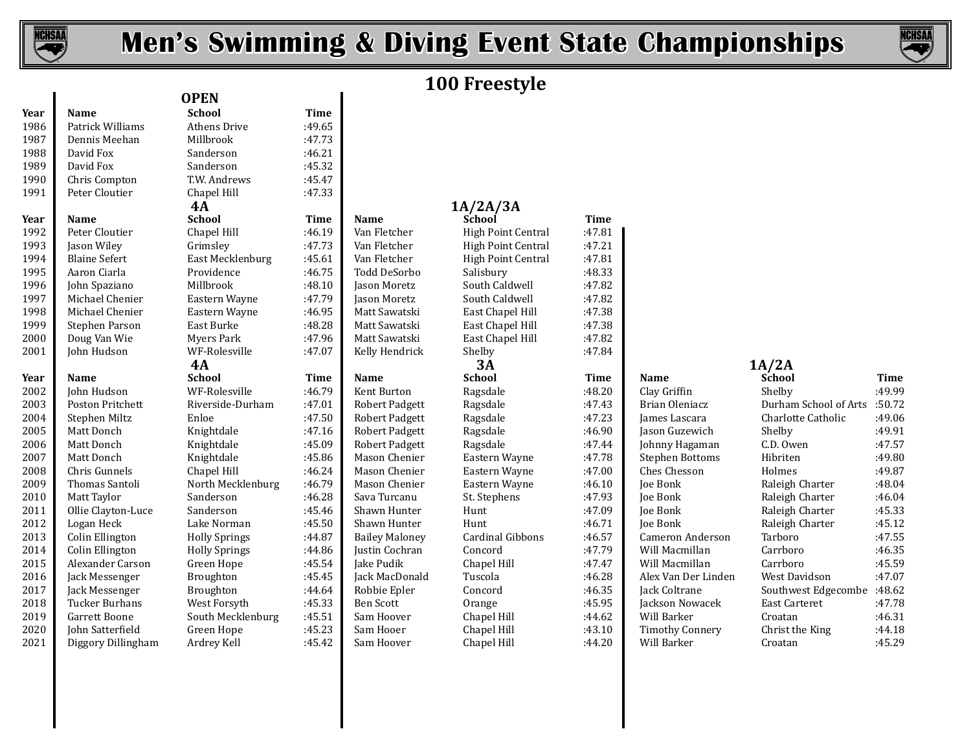

# **Men's Swimming & Diving Event State Championships**



# **100 Freestyle**

| Year | <b>Name</b>          | <b>School</b>        | <b>Time</b> |                       |                           |             |                        |                       |        |
|------|----------------------|----------------------|-------------|-----------------------|---------------------------|-------------|------------------------|-----------------------|--------|
| 1986 | Patrick Williams     | Athens Drive         | :49.65      |                       |                           |             |                        |                       |        |
| 1987 | Dennis Meehan        | Millbrook            | :47.73      |                       |                           |             |                        |                       |        |
| 1988 | David Fox            | Sanderson            | :46.21      |                       |                           |             |                        |                       |        |
| 1989 | David Fox            | Sanderson            | :45.32      |                       |                           |             |                        |                       |        |
| 1990 | Chris Compton        | T.W. Andrews         | :45.47      |                       |                           |             |                        |                       |        |
| 1991 | Peter Cloutier       | Chapel Hill          | :47.33      |                       |                           |             |                        |                       |        |
|      |                      | 4A                   |             |                       | 1A/2A/3A                  |             |                        |                       |        |
| Year | Name                 | <b>School</b>        | <b>Time</b> | Name                  | School                    | <b>Time</b> |                        |                       |        |
| 1992 | Peter Cloutier       | Chapel Hill          | :46.19      | Van Fletcher          | <b>High Point Central</b> | :47.81      |                        |                       |        |
| 1993 | Jason Wiley          | Grimsley             | :47.73      | Van Fletcher          | High Point Central        | :47.21      |                        |                       |        |
| 1994 | <b>Blaine Sefert</b> | East Mecklenburg     | :45.61      | Van Fletcher          | <b>High Point Central</b> | :47.81      |                        |                       |        |
| 1995 | Aaron Ciarla         | Providence           | :46.75      | Todd DeSorbo          | Salisbury                 | :48.33      |                        |                       |        |
| 1996 | John Spaziano        | Millbrook            | :48.10      | Jason Moretz          | South Caldwell            | :47.82      |                        |                       |        |
| 1997 | Michael Chenier      | Eastern Wayne        | :47.79      | Jason Moretz          | South Caldwell            | :47.82      |                        |                       |        |
| 1998 | Michael Chenier      | Eastern Wayne        | :46.95      | Matt Sawatski         | East Chapel Hill          | :47.38      |                        |                       |        |
| 1999 | Stephen Parson       | East Burke           | :48.28      | Matt Sawatski         | East Chapel Hill          | :47.38      |                        |                       |        |
| 2000 | Doug Van Wie         | <b>Myers Park</b>    | :47.96      | Matt Sawatski         | East Chapel Hill          | :47.82      |                        |                       |        |
| 2001 | John Hudson          | WF-Rolesville        | :47.07      | Kelly Hendrick        | Shelby                    | :47.84      |                        |                       |        |
|      |                      | 4A                   |             |                       | 3A                        |             |                        | 1A/2A                 |        |
| Year | <b>Name</b>          | <b>School</b>        | <b>Time</b> | Name                  | <b>School</b>             | Time        | Name                   | School                | Time   |
| 2002 | John Hudson          | WF-Rolesville        | :46.79      | Kent Burton           | Ragsdale                  | :48.20      | Clay Griffin           | Shelby                | :49.99 |
| 2003 | Poston Pritchett     | Riverside-Durham     | :47.01      | <b>Robert Padgett</b> | Ragsdale                  | :47.43      | Brian Oleniacz         | Durham School of Arts | :50.72 |
| 2004 | Stephen Miltz        | Enloe                | :47.50      | <b>Robert Padgett</b> | Ragsdale                  | :47.23      | James Lascara          | Charlotte Catholic    | :49.06 |
| 2005 | Matt Donch           | Knightdale           | :47.16      | Robert Padgett        | Ragsdale                  | :46.90      | Jason Guzewich         | Shelby                | :49.91 |
| 2006 | Matt Donch           | Knightdale           | :45.09      | <b>Robert Padgett</b> | Ragsdale                  | :47.44      | Johnny Hagaman         | C.D. Owen             | :47.57 |
| 2007 | Matt Donch           | Knightdale           | :45.86      | Mason Chenier         | Eastern Wayne             | :47.78      | <b>Stephen Bottoms</b> | Hibriten              | :49.80 |
| 2008 | Chris Gunnels        | Chapel Hill          | :46.24      | Mason Chenier         | Eastern Wayne             | :47.00      | Ches Chesson           | Holmes                | :49.87 |
| 2009 | Thomas Santoli       | North Mecklenburg    | :46.79      | Mason Chenier         | Eastern Wayne             | :46.10      | <b>Joe Bonk</b>        | Raleigh Charter       | :48.04 |
| 2010 | Matt Taylor          | Sanderson            | :46.28      | Sava Turcanu          | St. Stephens              | :47.93      | Joe Bonk               | Raleigh Charter       | :46.04 |
| 2011 | Ollie Clayton-Luce   | Sanderson            | :45.46      | Shawn Hunter          | Hunt                      | :47.09      | Joe Bonk               | Raleigh Charter       | :45.33 |
| 2012 | Logan Heck           | Lake Norman          | :45.50      | Shawn Hunter          | Hunt                      | :46.71      | <b>Joe Bonk</b>        | Raleigh Charter       | :45.12 |
| 2013 | Colin Ellington      | <b>Holly Springs</b> | :44.87      | <b>Bailey Maloney</b> | <b>Cardinal Gibbons</b>   | :46.57      | Cameron Anderson       | Tarboro               | :47.55 |
| 2014 | Colin Ellington      | <b>Holly Springs</b> | :44.86      | Justin Cochran        | Concord                   | :47.79      | Will Macmillan         | Carrboro              | :46.35 |
| 2015 | Alexander Carson     | Green Hope           | :45.54      | Jake Pudik            | Chapel Hill               | :47.47      | Will Macmillan         | Carrboro              | :45.59 |
| 2016 | Jack Messenger       | Broughton            | :45.45      | Jack MacDonald        | Tuscola                   | :46.28      | Alex Van Der Linden    | West Davidson         | :47.07 |
| 2017 | Jack Messenger       | Broughton            | :44.64      | Robbie Epler          | Concord                   | :46.35      | Jack Coltrane          | Southwest Edgecombe   | :48.62 |
| 2018 | Tucker Burhans       | West Forsyth         | :45.33      | <b>Ben Scott</b>      | Orange                    | :45.95      | Jackson Nowacek        | East Carteret         | :47.78 |
| 2019 | Garrett Boone        | South Mecklenburg    | :45.51      | Sam Hoover            | Chapel Hill               | :44.62      | Will Barker            | Croatan               | :46.31 |
| 2020 | John Satterfield     | Green Hope           | :45.23      | Sam Hooer             | Chapel Hill               | :43.10      | <b>Timothy Connery</b> | Christ the King       | :44.18 |
| 2021 | Diggory Dillingham   | Ardrey Kell          | :45.42      | Sam Hoover            | Chapel Hill               | :44.20      | Will Barker            | Croatan               | :45.29 |

| 4А                       |             |                       | 1A/2A/3A                |             |                         |              |
|--------------------------|-------------|-----------------------|-------------------------|-------------|-------------------------|--------------|
| <b>school</b>            | <b>Time</b> | <b>Name</b>           | School                  | <b>Time</b> |                         |              |
| hapel Hill               | :46.19      | Van Fletcher          | High Point Central      | :47.81      |                         |              |
| <b>Frimsley</b>          | :47.73      | Van Fletcher          | High Point Central      | :47.21      |                         |              |
| East Mecklenburg         | :45.61      | Van Fletcher          | High Point Central      | :47.81      |                         |              |
| Providence               | :46.75      | Todd DeSorbo          | Salisbury               | :48.33      |                         |              |
| Millbrook                | :48.10      | Jason Moretz          | South Caldwell          | :47.82      |                         |              |
| Eastern Wayne            | :47.79      | Jason Moretz          | South Caldwell          | :47.82      |                         |              |
| Eastern Wayne            | :46.95      | Matt Sawatski         | East Chapel Hill        | :47.38      |                         |              |
| last Burke               | :48.28      | Matt Sawatski         | East Chapel Hill        | :47.38      |                         |              |
| Ayers Park               | :47.96      | Matt Sawatski         | East Chapel Hill        | :47.82      |                         |              |
| VF-Rolesville            | :47.07      | Kelly Hendrick        | Shelby                  | :47.84      |                         |              |
| 4А                       |             |                       | 3A                      |             |                         | 1A/2A        |
| <b>School</b>            | <b>Time</b> | <b>Name</b>           | <b>School</b>           | <b>Time</b> | Name                    | <b>Schoo</b> |
| VF-Rolesville            | :46.79      | Kent Burton           | Ragsdale                | :48.20      | Clay Griffin            | Shelby       |
| Riverside-Durham         | :47.01      | <b>Robert Padgett</b> | Ragsdale                | :47.43      | Brian Oleniacz          | Durhai       |
| Enloe                    | :47.50      | <b>Robert Padgett</b> | Ragsdale                | :47.23      | James Lascara           | Charlo       |
| Knightdale               | :47.16      | <b>Robert Padgett</b> | Ragsdale                | :46.90      | Jason Guzewich          | Shelby       |
| Knightdale               | :45.09      | <b>Robert Padgett</b> | Ragsdale                | :47.44      | Johnny Hagaman          | $C.D.$ Ov    |
| <i><b>Knightdale</b></i> | :45.86      | Mason Chenier         | Eastern Wayne           | :47.78      | <b>Stephen Bottoms</b>  | Hibrite      |
| hapel Hill               | :46.24      | Mason Chenier         | Eastern Wayne           | :47.00      | Ches Chesson            | Holme        |
| Vorth Mecklenburg        | :46.79      | Mason Chenier         | Eastern Wayne           | :46.10      | Joe Bonk                | Raleigl      |
| Sanderson                | :46.28      | Sava Turcanu          | St. Stephens            | :47.93      | Joe Bonk                | Raleigl      |
| Sanderson                | :45.46      | Shawn Hunter          | Hunt                    | :47.09      | Joe Bonk                | Raleigl      |
| ake Norman               | :45.50      | Shawn Hunter          | Hunt                    | :46.71      | Joe Bonk                | Raleigl      |
| <b>Jolly Springs</b>     | :44.87      | <b>Bailey Maloney</b> | <b>Cardinal Gibbons</b> | :46.57      | <b>Cameron Anderson</b> | Tarbor       |
| <b>Jolly Springs</b>     | :44.86      | Justin Cochran        | Concord                 | :47.79      | Will Macmillan          | Carrbo       |
| Green Hope               | :45.54      | Jake Pudik            | Chapel Hill             | :47.47      | Will Macmillan          | Carrbo       |
| Broughton                | :45.45      | Jack MacDonald        | Tuscola                 | :46.28      | Alex Van Der Linden     | West D       |
| Broughton                | :44.64      | Robbie Epler          | Concord                 | :46.35      | Jack Coltrane           | Southy       |
| Vest Forsyth             | :45.33      | <b>Ben Scott</b>      | Orange                  | :45.95      | Jackson Nowacek         | East Ca      |
| South Mecklenburg        | :45.51      | Sam Hoover            | Chapel Hill             | :44.62      | Will Barker             | Croata       |
| Green Hope               | :45.23      | Sam Hooer             | Chapel Hill             | :43.10      | <b>Timothy Connery</b>  | Christ       |
| Ardrev Kell              | :45.42      | Sam Hoover            | Chanel Hill             | :44.20      | Will Barker             | Croata       |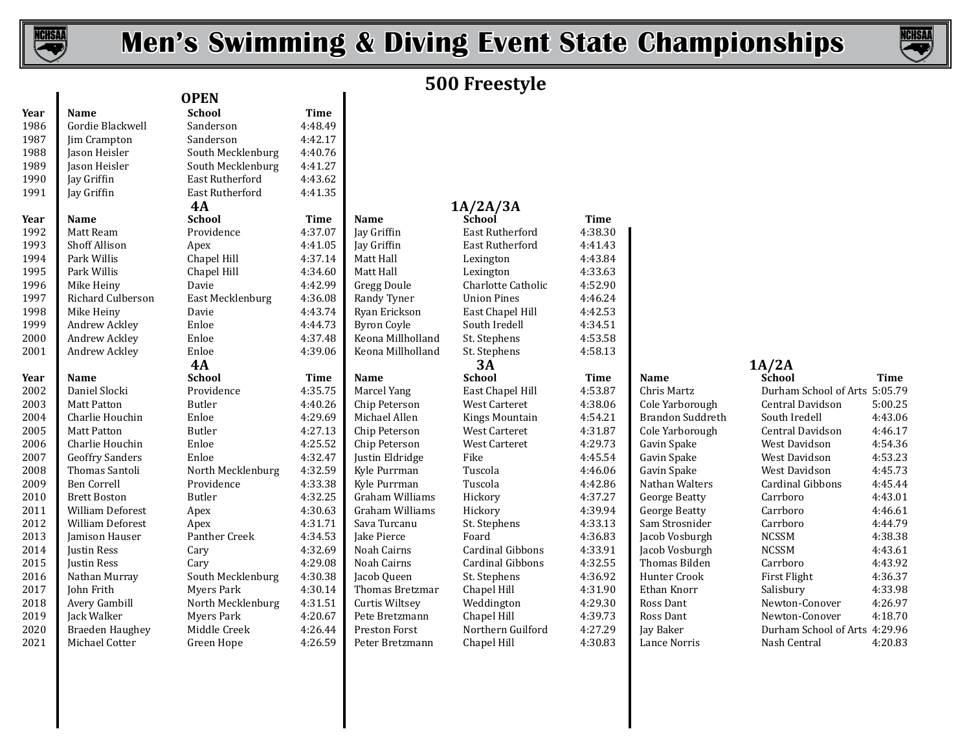

 $\overline{\phantom{a}}$ 

# **Men's Swimming & Diving Event State Championships**



# **500 Freestyle**

| Year | <b>Name</b>             | <b>School</b>     | <b>Time</b> |                    |                         |             |                      |                               |         |
|------|-------------------------|-------------------|-------------|--------------------|-------------------------|-------------|----------------------|-------------------------------|---------|
| 1986 | Gordie Blackwell        | Sanderson         | 4:48.49     |                    |                         |             |                      |                               |         |
| 1987 | Jim Crampton            | Sanderson         | 4:42.17     |                    |                         |             |                      |                               |         |
| 1988 | Jason Heisler           | South Mecklenburg | 4:40.76     |                    |                         |             |                      |                               |         |
| 1989 | Jason Heisler           | South Mecklenburg | 4:41.27     |                    |                         |             |                      |                               |         |
| 1990 | Jay Griffin             | East Rutherford   | 4:43.62     |                    |                         |             |                      |                               |         |
| 1991 | Jay Griffin             | East Rutherford   | 4:41.35     |                    |                         |             |                      |                               |         |
|      |                         | 4A                |             |                    | 1A/2A/3A                |             |                      |                               |         |
| Year | Name                    | <b>School</b>     | <b>Time</b> | Name               | School                  | <b>Time</b> |                      |                               |         |
| 1992 | Matt Ream               | Providence        | 4:37.07     | Jay Griffin        | East Rutherford         | 4:38.30     |                      |                               |         |
| 1993 | <b>Shoff Allison</b>    | Apex              | 4:41.05     | Jay Griffin        | East Rutherford         | 4:41.43     |                      |                               |         |
| 1994 | Park Willis             | Chapel Hill       | 4:37.14     | Matt Hall          | Lexington               | 4:43.84     |                      |                               |         |
| 1995 | Park Willis             | Chapel Hill       | 4:34.60     | Matt Hall          | Lexington               | 4:33.63     |                      |                               |         |
| 1996 | Mike Heiny              | Davie             | 4:42.99     | Gregg Doule        | Charlotte Catholic      | 4:52.90     |                      |                               |         |
| 1997 | Richard Culberson       | East Mecklenburg  | 4:36.08     | Randy Tyner        | <b>Union Pines</b>      | 4:46.24     |                      |                               |         |
| 1998 | Mike Heiny              | Davie             | 4:43.74     | Ryan Erickson      | East Chapel Hill        | 4:42.53     |                      |                               |         |
| 1999 | Andrew Ackley           | Enloe             | 4:44.73     | <b>Byron Coyle</b> | South Iredell           | 4:34.51     |                      |                               |         |
| 2000 | Andrew Ackley           | Enloe             | 4:37.48     | Keona Millholland  | St. Stephens            | 4:53.58     |                      |                               |         |
| 2001 | Andrew Ackley           | Enloe             | 4:39.06     | Keona Millholland  | St. Stephens            | 4:58.13     |                      |                               |         |
|      |                         | <b>4A</b>         |             |                    | 3A                      |             |                      | 1A/2A                         |         |
| Year | Name                    | <b>School</b>     | Time        | Name               | <b>School</b>           | Time        | <b>Name</b>          | <b>School</b>                 | Time    |
| 2002 | Daniel Slocki           | Providence        | 4:35.75     | Marcel Yang        | East Chapel Hill        | 4:53.87     | Chris Martz          | Durham School of Arts 5:05.79 |         |
| 2003 | <b>Matt Patton</b>      | <b>Butler</b>     | 4:40.26     | Chip Peterson      | West Carteret           | 4:38.06     | Cole Yarborough      | Central Davidson              | 5:00.25 |
| 2004 | Charlie Houchin         | Enloe             | 4:29.69     | Michael Allen      | <b>Kings Mountain</b>   | 4:54.21     | Brandon Suddreth     | South Iredell                 | 4:43.06 |
| 2005 | <b>Matt Patton</b>      | <b>Butler</b>     | 4:27.13     | Chip Peterson      | West Carteret           | 4:31.87     | Cole Yarborough      | Central Davidson              | 4:46.17 |
| 2006 | Charlie Houchin         | Enloe             | 4:25.52     | Chip Peterson      | <b>West Carteret</b>    | 4:29.73     | Gavin Spake          | West Davidson                 | 4:54.36 |
| 2007 | <b>Geoffry Sanders</b>  | Enloe             | 4:32.47     | Justin Eldridge    | Fike                    | 4:45.54     | Gavin Spake          | West Davidson                 | 4:53.23 |
| 2008 | Thomas Santoli          | North Mecklenburg | 4:32.59     | Kyle Purrman       | Tuscola                 | 4:46.06     | Gavin Spake          | West Davidson                 | 4:45.73 |
| 2009 | <b>Ben Correll</b>      | Providence        | 4:33.38     | Kyle Purrman       | Tuscola                 | 4:42.86     | Nathan Walters       | Cardinal Gibbons              | 4:45.44 |
| 2010 | <b>Brett Boston</b>     | Butler            | 4:32.25     | Graham Williams    | Hickory                 | 4:37.27     | <b>George Beatty</b> | Carrboro                      | 4:43.01 |
| 2011 | <b>William Deforest</b> | Apex              | 4:30.63     | Graham Williams    | Hickory                 | 4:39.94     | <b>George Beatty</b> | Carrboro                      | 4:46.61 |
| 2012 | <b>William Deforest</b> | Apex              | 4:31.71     | Sava Turcanu       | St. Stephens            | 4:33.13     | Sam Strosnider       | Carrboro                      | 4:44.79 |
| 2013 | Jamison Hauser          | Panther Creek     | 4:34.53     | Jake Pierce        | Foard                   | 4:36.83     | Jacob Vosburgh       | <b>NCSSM</b>                  | 4:38.38 |
| 2014 | Justin Ress             | Cary              | 4:32.69     | Noah Cairns        | <b>Cardinal Gibbons</b> | 4:33.91     | Jacob Vosburgh       | <b>NCSSM</b>                  | 4:43.61 |
| 2015 | <b>Justin Ress</b>      | Cary              | 4:29.08     | Noah Cairns        | Cardinal Gibbons        | 4:32.55     | Thomas Bilden        | Carrboro                      | 4:43.92 |
| 2016 | Nathan Murray           | South Mecklenburg | 4:30.38     | Jacob Queen        | St. Stephens            | 4:36.92     | Hunter Crook         | First Flight                  | 4:36.37 |
| 2017 | John Frith              | Myers Park        | 4:30.14     | Thomas Bretzmar    | Chapel Hill             | 4:31.90     | Ethan Knorr          | Salisbury                     | 4:33.98 |
| 2018 | Avery Gambill           | North Mecklenburg | 4:31.51     | Curtis Wiltsey     | Weddington              | 4:29.30     | Ross Dant            | Newton-Conover                | 4:26.97 |
| 2019 | Jack Walker             | <b>Myers Park</b> | 4:20.67     | Pete Bretzmann     | Chapel Hill             | 4:39.73     | Ross Dant            | Newton-Conover                | 4:18.70 |
| 2020 | Braeden Haughey         | Middle Creek      | 4:26.44     | Preston Forst      | Northern Guilford       | 4:27.29     | Jay Baker            | Durham School of Arts 4:29.96 |         |
| 2021 | Michael Cotter          | Green Hope        | 4:26.59     | Peter Bretzmann    | Chapel Hill             | 4:30.83     | Lance Norris         | Nash Central                  | 4:20.83 |

**OPEN**

| last Rutherford          | 4:43.62     |                      |                    |
|--------------------------|-------------|----------------------|--------------------|
| <b>East Rutherford</b>   | 4:41.35     |                      |                    |
| 4А                       |             |                      | 1A/2A/3A           |
| <b>school</b>            | <b>Time</b> | Name                 | School             |
| Providence               | 4:37.07     | Jay Griffin          | East Ruther        |
| Apex                     | 4:41.05     | Jay Griffin          | East Ruther        |
| hapel Hill.              | 4:37.14     | Matt Hall            | Lexington          |
| hapel Hill:              | 4:34.60     | Matt Hall            | Lexington          |
| )avie                    | 4:42.99     | <b>Gregg Doule</b>   | Charlotte Ca       |
| East Mecklenburg         | 4:36.08     | Randy Tyner          | <b>Union Pines</b> |
| )avie                    | 4:43.74     | Ryan Erickson        | East Chapel        |
| <b>Enloe</b>             | 4:44.73     | <b>Byron Coyle</b>   | South Iredel       |
| <b>Enloe</b>             | 4:37.48     | Keona Millholland    | St. Stephens       |
| <b>Inloe</b>             | 4:39.06     | Keona Millholland    | St. Stephens       |
| 4А                       |             |                      | 3A                 |
| <b>School</b>            | <b>Time</b> | <b>Name</b>          | <b>School</b>      |
| Providence               | 4:35.75     | Marcel Yang          | East Chapel        |
| 3utler                   | 4:40.26     | Chip Peterson        | West Carter        |
| ?nloe                    | 4:29.69     | Michael Allen        | Kings Moun         |
| 3utler                   | 4:27.13     | Chip Peterson        | West Carter        |
| ?nloe                    | 4:25.52     | Chip Peterson        | West Carter        |
| <b>Inloe</b>             | 4:32.47     | Justin Eldridge      | Fike               |
| <b>North Mecklenburg</b> | 4:32.59     | Kyle Purrman         | Tuscola            |
| Providence               | 4:33.38     | Kyle Purrman         | Tuscola            |
| 3utler                   | 4:32.25     | Graham Williams      | Hickory            |
| Apex                     | 4:30.63     | Graham Williams      | Hickory            |
| Apex                     | 4:31.71     | Sava Turcanu         | St. Stephens       |
| Panther Creek            | 4:34.53     | Jake Pierce          | Foard              |
| `ary                     | 4:32.69     | Noah Cairns          | Cardinal Gib       |
| `ary                     | 4:29.08     | Noah Cairns          | Cardinal Gib       |
| South Mecklenburg        | 4:30.38     | Jacob Queen          | St. Stephens       |
| Ayers Park               | 4:30.14     | Thomas Bretzmar      | Chapel Hill        |
| North Mecklenburg        | 4:31.51     | Curtis Wiltsey       | Weddington         |
| Ayers Park               | 4:20.67     | Pete Bretzmann       | Chapel Hill        |
| Middle Creek             | 4:26.44     | <b>Preston Forst</b> | Northern Gu        |
| Green Hope               | 4:26.59     | Peter Bretzmann      | Chapel Hill        |

| East Rutherford          | 4:41.35     |                        |                         |             |                      |              |
|--------------------------|-------------|------------------------|-------------------------|-------------|----------------------|--------------|
| 4А                       |             |                        | 1A/2A/3A                |             |                      |              |
| <b>school</b>            | <b>Time</b> | <b>Name</b>            | School                  | <b>Time</b> |                      |              |
| Providence               | 4:37.07     | Jay Griffin            | East Rutherford         | 4:38.30     |                      |              |
| Apex                     | 4:41.05     | Jay Griffin            | <b>East Rutherford</b>  | 4:41.43     |                      |              |
| hapel Hill               | 4:37.14     | Matt Hall              | Lexington               | 4:43.84     |                      |              |
| hapel Hill               | 4:34.60     | Matt Hall              | Lexington               | 4:33.63     |                      |              |
| )avie                    | 4:42.99     | Gregg Doule            | Charlotte Catholic      | 4:52.90     |                      |              |
| East Mecklenburg         | 4:36.08     | Randy Tyner            | <b>Union Pines</b>      | 4:46.24     |                      |              |
| )avie                    | 4:43.74     | Ryan Erickson          | East Chapel Hill        | 4:42.53     |                      |              |
| <b>Enloe</b>             | 4:44.73     | <b>Byron Coyle</b>     | South Iredell           | 4:34.51     |                      |              |
| Enloe                    | 4:37.48     | Keona Millholland      | St. Stephens            | 4:53.58     |                      |              |
| <b>Enloe</b>             | 4:39.06     | Keona Millholland      | St. Stephens            | 4:58.13     |                      |              |
| 4А                       |             |                        | 3A                      |             |                      | 1A/2A        |
| ichool                   | Time        | <b>Name</b>            | <b>School</b>           | <b>Time</b> | <b>Name</b>          | Schoo        |
| Providence               | 4:35.75     | Marcel Yang            | East Chapel Hill        | 4:53.87     | Chris Martz          | Durhar       |
| 3utler                   | 4:40.26     | Chip Peterson          | <b>West Carteret</b>    | 4:38.06     | Cole Yarborough      | Centra       |
| Enloe                    | 4:29.69     | Michael Allen          | <b>Kings Mountain</b>   | 4:54.21     | Brandon Suddreth     | South 1      |
| 3utler                   | 4:27.13     | Chip Peterson          | <b>West Carteret</b>    | 4:31.87     | Cole Yarborough      | Centra       |
| Enloe                    | 4:25.52     | Chip Peterson          | <b>West Carteret</b>    | 4:29.73     | Gavin Spake          | West D       |
| <b>Enloe</b>             | 4:32.47     | Justin Eldridge        | Fike                    | 4:45.54     | Gavin Spake          | West D       |
| North Mecklenburg        | 4:32.59     | Kyle Purrman           | Tuscola                 | 4:46.06     | Gavin Spake          | West D       |
| Providence               | 4:33.38     | Kyle Purrman           | Tuscola                 | 4:42.86     | Nathan Walters       | Cardin       |
| 3utler                   | 4:32.25     | Graham Williams        | Hickory                 | 4:37.27     | <b>George Beatty</b> | Carrbo       |
| Apex                     | 4:30.63     | Graham Williams        | Hickory                 | 4:39.94     | <b>George Beatty</b> | Carrbo       |
| Apex                     | 4:31.71     | Sava Turcanu           | St. Stephens            | 4:33.13     | Sam Strosnider       | Carrbo       |
| anther Creek             | 4:34.53     | Jake Pierce            | Foard                   | 4:36.83     | Jacob Vosburgh       | <b>NCSSM</b> |
| `ary                     | 4:32.69     | Noah Cairns            | <b>Cardinal Gibbons</b> | 4:33.91     | Jacob Vosburgh       | <b>NCSSM</b> |
| `ary                     | 4:29.08     | Noah Cairns            | Cardinal Gibbons        | 4:32.55     | Thomas Bilden        | Carrbo       |
| South Mecklenburg        | 4:30.38     | Jacob Queen            | St. Stephens            | 4:36.92     | <b>Hunter Crook</b>  | First F      |
| Myers Park               | 4:30.14     | <b>Thomas Bretzmar</b> | Chapel Hill             | 4:31.90     | Ethan Knorr          | Salisbu      |
| <b>North Mecklenburg</b> | 4:31.51     | Curtis Wiltsey         | Weddington              | 4:29.30     | Ross Dant            | Newto        |
| Ayers Park               | 4:20.67     | Pete Bretzmann         | Chapel Hill             | 4:39.73     | Ross Dant            | Newto        |
| Middle Creek             | 4:26.44     | Preston Forst          | Northern Guilford       | 4:27.29     | Jay Baker            | Durhai       |
| Green Hope               | 4:26.59     | Peter Bretzmann        | Chapel Hill             | 4:30.83     | Lance Norris         | Nash C       |

| Name                 |
|----------------------|
| Chris Martz          |
| Cole Yarborou        |
| Brandon Sudd         |
| Cole Yarborou        |
| Gavin Spake          |
| Gavin Spake          |
| Gavin Spake          |
| Nathan Walter        |
| <b>George Beatty</b> |
| <b>George Beatty</b> |
| Sam Strosnide        |
| Jacob Vosburg        |
| Jacob Vosburg        |
| Thomas Bilde:        |
| Hunter Crook         |
| Ethan Knorr          |
| Ross Dant            |
| Ross Dant            |
| Jay Baker            |
| Lance Norris         |

| SCNOOL                        | ı ıme   |
|-------------------------------|---------|
| Durham School of Arts 5:05.79 |         |
| Central Davidson              | 5:00.25 |
| South Iredell                 | 4:43.06 |
| Central Davidson              | 4:46.17 |
| West Davidson                 | 4:54.36 |
| West Davidson                 | 4:53.23 |
| West Davidson                 | 4:45.73 |
| Cardinal Gibbons              | 4:45.44 |
| Carrboro                      | 4:43.01 |
| Carrboro                      | 4:46.61 |
| Carrboro                      | 4:44.79 |
| NCSSM                         | 4:38.38 |
| NCSSM                         | 4:43.61 |
| Carrboro                      | 4:43.92 |
| First Flight                  | 4:36.37 |
| Salisbury                     | 4:33.98 |
| Newton-Conover                | 4:26.97 |
| Newton-Conover                | 4:18.70 |
| Durham School of Arts 4:29.96 |         |
| Nash Central                  | 4:20.83 |
|                               |         |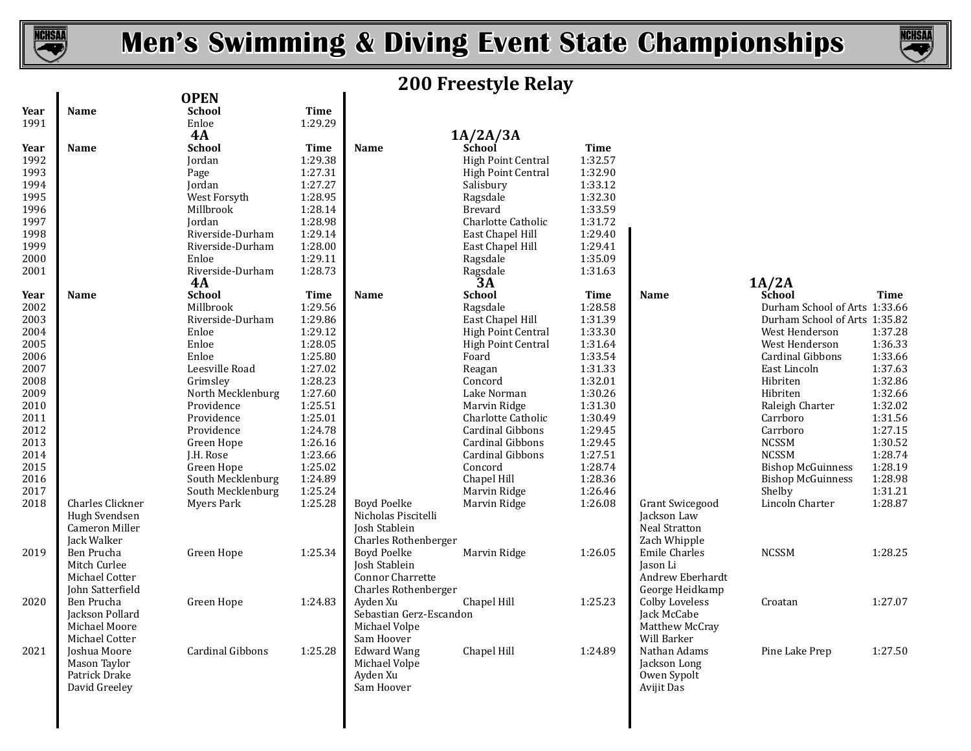

# **Men's Swimming & Diving Event State Championships**



# **200 Freestyle Relay**

|              |                  | <b>OPEN</b>       |                    |                         | <u>UU LECCOUTE MEMY</u>   |             |                        |                               |             |
|--------------|------------------|-------------------|--------------------|-------------------------|---------------------------|-------------|------------------------|-------------------------------|-------------|
| Year         | Name             | <b>School</b>     | <b>Time</b>        |                         |                           |             |                        |                               |             |
| 1991         |                  | Enloe             | 1:29.29            |                         |                           |             |                        |                               |             |
|              |                  | 4A                |                    |                         | 1A/2A/3A                  |             |                        |                               |             |
| Year         | <b>Name</b>      | <b>School</b>     | Time               | <b>Name</b>             | School                    | <b>Time</b> |                        |                               |             |
| 1992         |                  | Jordan            | 1:29.38            |                         | <b>High Point Central</b> | 1:32.57     |                        |                               |             |
| 1993         |                  | Page              | 1:27.31            |                         | High Point Central        | 1:32.90     |                        |                               |             |
| 1994         |                  | Jordan            | 1:27.27            |                         | Salisbury                 | 1:33.12     |                        |                               |             |
| 1995         |                  | West Forsyth      | 1:28.95            |                         | Ragsdale                  | 1:32.30     |                        |                               |             |
|              |                  | Millbrook         | 1:28.14            |                         | <b>Brevard</b>            | 1:33.59     |                        |                               |             |
| 1996<br>1997 |                  | Jordan            | 1:28.98            |                         | Charlotte Catholic        | 1:31.72     |                        |                               |             |
| 1998         |                  | Riverside-Durham  | 1:29.14            |                         |                           | 1:29.40     |                        |                               |             |
|              |                  |                   |                    |                         | East Chapel Hill          | 1:29.41     |                        |                               |             |
| 1999         |                  | Riverside-Durham  | 1:28.00<br>1:29.11 |                         | East Chapel Hill          | 1:35.09     |                        |                               |             |
| 2000         |                  | Enloe             |                    |                         | Ragsdale                  |             |                        |                               |             |
| 2001         |                  | Riverside-Durham  | 1:28.73            |                         | Ragsdale                  | 1:31.63     |                        |                               |             |
|              |                  | 4A                |                    |                         | 3A                        |             |                        | 1A/2A                         |             |
| Year         | <b>Name</b>      | School            | Time               | Name                    | <b>School</b>             | Time        | <b>Name</b>            | <b>School</b>                 | <b>Time</b> |
| 2002         |                  | Millbrook         | 1:29.56            |                         | Ragsdale                  | 1:28.58     |                        | Durham School of Arts 1:33.66 |             |
| 2003         |                  | Riverside-Durham  | 1:29.86            |                         | East Chapel Hill          | 1:31.39     |                        | Durham School of Arts 1:35.82 |             |
| 2004         |                  | Enloe             | 1:29.12            |                         | High Point Central        | 1:33.30     |                        | West Henderson                | 1:37.28     |
| 2005         |                  | Enloe             | 1:28.05            |                         | <b>High Point Central</b> | 1:31.64     |                        | West Henderson                | 1:36.33     |
| 2006         |                  | Enloe             | 1:25.80            |                         | Foard                     | 1:33.54     |                        | Cardinal Gibbons              | 1:33.66     |
| 2007         |                  | Leesville Road    | 1:27.02            |                         | Reagan                    | 1:31.33     |                        | East Lincoln                  | 1:37.63     |
| 2008         |                  | Grimsley          | 1:28.23            |                         | Concord                   | 1:32.01     |                        | Hibriten                      | 1:32.86     |
| 2009         |                  | North Mecklenburg | 1:27.60            |                         | Lake Norman               | 1:30.26     |                        | Hibriten                      | 1:32.66     |
| 2010         |                  | Providence        | 1:25.51            |                         | Marvin Ridge              | 1:31.30     |                        | Raleigh Charter               | 1:32.02     |
| 2011         |                  | Providence        | 1:25.01            |                         | Charlotte Catholic        | 1:30.49     |                        | Carrboro                      | 1:31.56     |
| 2012         |                  | Providence        | 1:24.78            |                         | Cardinal Gibbons          | 1:29.45     |                        | Carrboro                      | 1:27.15     |
| 2013         |                  | Green Hope        | 1:26.16            |                         | Cardinal Gibbons          | 1:29.45     |                        | <b>NCSSM</b>                  | 1:30.52     |
| 2014         |                  | J.H. Rose         | 1:23.66            |                         | Cardinal Gibbons          | 1:27.51     |                        | <b>NCSSM</b>                  | 1:28.74     |
| 2015         |                  | Green Hope        | 1:25.02            |                         | Concord                   | 1:28.74     |                        | <b>Bishop McGuinness</b>      | 1:28.19     |
| 2016         |                  | South Mecklenburg | 1:24.89            |                         | Chapel Hill               | 1:28.36     |                        | <b>Bishop McGuinness</b>      | 1:28.98     |
| 2017         |                  | South Mecklenburg | 1:25.24            |                         | Marvin Ridge              | 1:26.46     |                        | Shelby                        | 1:31.21     |
| 2018         | Charles Clickner | Myers Park        | 1:25.28            | Boyd Poelke             | Marvin Ridge              | 1:26.08     | <b>Grant Swicegood</b> | Lincoln Charter               | 1:28.87     |
|              | Hugh Svendsen    |                   |                    | Nicholas Piscitelli     |                           |             | Jackson Law            |                               |             |
|              | Cameron Miller   |                   |                    | Josh Stablein           |                           |             | Neal Stratton          |                               |             |
|              | Jack Walker      |                   |                    | Charles Rothenberger    |                           |             | Zach Whipple           |                               |             |
| 2019         | Ben Prucha       | Green Hope        | 1:25.34            | Boyd Poelke             | Marvin Ridge              | 1:26.05     | <b>Emile Charles</b>   | <b>NCSSM</b>                  | 1:28.25     |
|              | Mitch Curlee     |                   |                    | Josh Stablein           |                           |             | Jason Li               |                               |             |
|              | Michael Cotter   |                   |                    | Connor Charrette        |                           |             | Andrew Eberhardt       |                               |             |
|              | John Satterfield |                   |                    | Charles Rothenberger    |                           |             | George Heidkamp        |                               |             |
| 2020         | Ben Prucha       | Green Hope        | 1:24.83            | Ayden Xu                | Chapel Hill               | 1:25.23     | Colby Loveless         | Croatan                       | 1:27.07     |
|              | Jackson Pollard  |                   |                    | Sebastian Gerz-Escandon |                           |             | Jack McCabe            |                               |             |
|              | Michael Moore    |                   |                    | Michael Volpe           |                           |             | Matthew McCray         |                               |             |
|              | Michael Cotter   |                   |                    | Sam Hoover              |                           |             | Will Barker            |                               |             |
| 2021         | Joshua Moore     | Cardinal Gibbons  | 1:25.28            | <b>Edward Wang</b>      | Chapel Hill               | 1:24.89     | Nathan Adams           | Pine Lake Prep                | 1:27.50     |
|              | Mason Taylor     |                   |                    | Michael Volpe           |                           |             | Jackson Long           |                               |             |
|              | Patrick Drake    |                   |                    | Ayden Xu                |                           |             | Owen Sypolt            |                               |             |
|              | David Greeley    |                   |                    | Sam Hoover              |                           |             | Avijit Das             |                               |             |
|              |                  |                   |                    |                         |                           |             |                        |                               |             |
|              |                  |                   |                    |                         |                           |             |                        |                               |             |
|              |                  |                   |                    |                         |                           |             |                        |                               |             |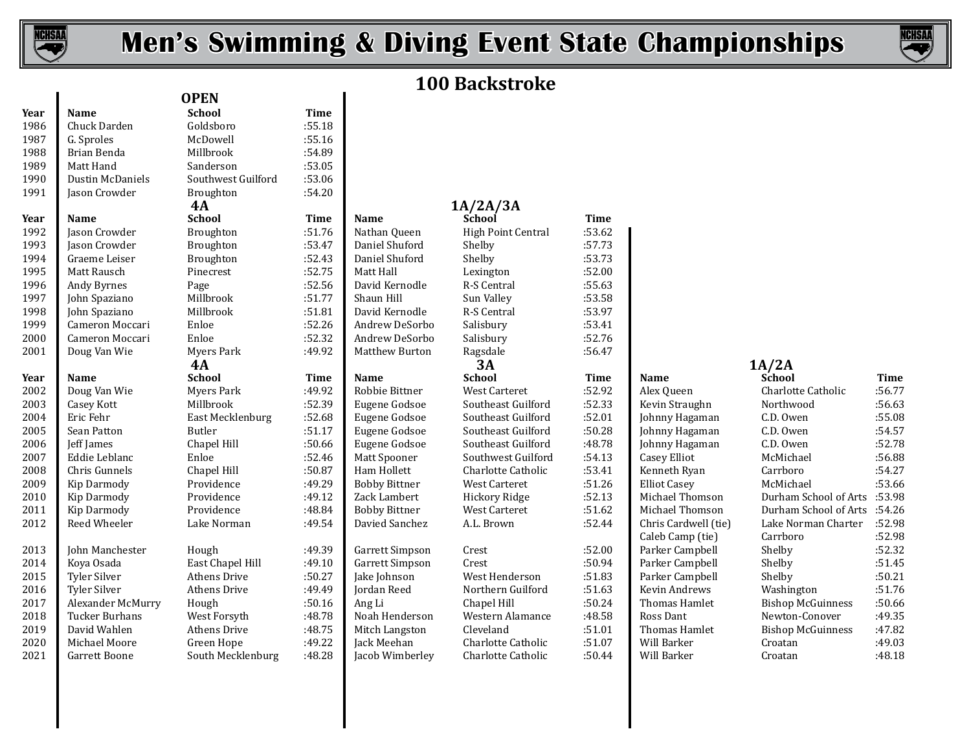

I

# **Men's Swimming & Diving Event State Championships**



# **100 Backstroke**

| Year | <b>Name</b>         | <b>School</b>       | <b>Time</b> |                      |                           |        |                      |                          |             |
|------|---------------------|---------------------|-------------|----------------------|---------------------------|--------|----------------------|--------------------------|-------------|
| 1986 | Chuck Darden        | Goldsboro           | :55.18      |                      |                           |        |                      |                          |             |
| 1987 | G. Sproles          | McDowell            | :55.16      |                      |                           |        |                      |                          |             |
| 1988 | Brian Benda         | Millbrook           | :54.89      |                      |                           |        |                      |                          |             |
| 1989 | Matt Hand           | Sanderson           | :53.05      |                      |                           |        |                      |                          |             |
| 1990 | Dustin McDaniels    | Southwest Guilford  | :53.06      |                      |                           |        |                      |                          |             |
| 1991 | Jason Crowder       | Broughton           | :54.20      |                      |                           |        |                      |                          |             |
|      |                     | 4A                  |             |                      | 1A/2A/3A                  |        |                      |                          |             |
| Year | <b>Name</b>         | <b>School</b>       | Time        | <b>Name</b>          | School                    | Time   |                      |                          |             |
| 1992 | Jason Crowder       | Broughton           | :51.76      | Nathan Queen         | <b>High Point Central</b> | :53.62 |                      |                          |             |
| 1993 | Jason Crowder       | Broughton           | :53.47      | Daniel Shuford       | Shelby                    | :57.73 |                      |                          |             |
| 1994 | Graeme Leiser       | Broughton           | :52.43      | Daniel Shuford       | Shelby                    | :53.73 |                      |                          |             |
| 1995 | Matt Rausch         | Pinecrest           | :52.75      | Matt Hall            | Lexington                 | :52.00 |                      |                          |             |
| 1996 | Andy Byrnes         | Page                | :52.56      | David Kernodle       | R-S Central               | :55.63 |                      |                          |             |
| 1997 | John Spaziano       | Millbrook           | :51.77      | Shaun Hill           | Sun Valley                | :53.58 |                      |                          |             |
| 1998 | John Spaziano       | Millbrook           | :51.81      | David Kernodle       | R-S Central               | :53.97 |                      |                          |             |
| 1999 | Cameron Moccari     | Enloe               | :52.26      | Andrew DeSorbo       | Salisbury                 | :53.41 |                      |                          |             |
| 2000 | Cameron Moccari     | Enloe               | :52.32      | Andrew DeSorbo       | Salisbury                 | :52.76 |                      |                          |             |
| 2001 | Doug Van Wie        | Myers Park          | :49.92      | Matthew Burton       | Ragsdale                  | :56.47 |                      |                          |             |
|      |                     | 4A                  |             |                      | 3A                        |        |                      | 1A/2A                    |             |
| Year | <b>Name</b>         | <b>School</b>       | Time        | Name                 | <b>School</b>             | Time   | Name                 | School                   | <b>Time</b> |
| 2002 | Doug Van Wie        | <b>Myers Park</b>   | :49.92      | Robbie Bittner       | West Carteret             | :52.92 | Alex Queen           | Charlotte Catholic       | :56.77      |
| 2003 | Casey Kott          | Millbrook           | :52.39      | Eugene Godsoe        | Southeast Guilford        | :52.33 | Kevin Straughn       | Northwood                | :56.63      |
| 2004 | Eric Fehr           | East Mecklenburg    | :52.68      | Eugene Godsoe        | Southeast Guilford        | :52.01 | Johnny Hagaman       | C.D. Owen                | :55.08      |
| 2005 | Sean Patton         | Butler              | :51.17      | Eugene Godsoe        | Southeast Guilford        | :50.28 | Johnny Hagaman       | C.D. Owen                | :54.57      |
| 2006 | Jeff James          | Chapel Hill         | :50.66      | Eugene Godsoe        | Southeast Guilford        | :48.78 | Johnny Hagaman       | C.D. Owen                | :52.78      |
| 2007 | Eddie Leblanc       | Enloe               | :52.46      | Matt Spooner         | Southwest Guilford        | :54.13 | Casey Elliot         | McMichael                | :56.88      |
| 2008 | Chris Gunnels       | Chapel Hill         | :50.87      | Ham Hollett          | Charlotte Catholic        | :53.41 | Kenneth Ryan         | Carrboro                 | :54.27      |
| 2009 | Kip Darmody         | Providence          | :49.29      | <b>Bobby Bittner</b> | West Carteret             | :51.26 | <b>Elliot Casey</b>  | McMichael                | :53.66      |
| 2010 | Kip Darmody         | Providence          | :49.12      | Zack Lambert         | <b>Hickory Ridge</b>      | :52.13 | Michael Thomson      | Durham School of Arts    | :53.98      |
| 2011 | Kip Darmody         | Providence          | :48.84      | <b>Bobby Bittner</b> | West Carteret             | :51.62 | Michael Thomson      | Durham School of Arts    | :54.26      |
| 2012 | Reed Wheeler        | Lake Norman         | :49.54      | Davied Sanchez       | A.L. Brown                | :52.44 | Chris Cardwell (tie) | Lake Norman Charter      | :52.98      |
|      |                     |                     |             |                      |                           |        | Caleb Camp (tie)     | Carrboro                 | :52.98      |
| 2013 | John Manchester     | Hough               | :49.39      | Garrett Simpson      | Crest                     | :52.00 | Parker Campbell      | Shelby                   | :52.32      |
| 2014 | Koya Osada          | East Chapel Hill    | :49.10      | Garrett Simpson      | Crest                     | :50.94 | Parker Campbell      | Shelby                   | :51.45      |
| 2015 | <b>Tyler Silver</b> | <b>Athens Drive</b> | :50.27      | Jake Johnson         | West Henderson            | :51.83 | Parker Campbell      | Shelby                   | :50.21      |
| 2016 | <b>Tyler Silver</b> | <b>Athens Drive</b> | :49.49      | Jordan Reed          | Northern Guilford         | :51.63 | Kevin Andrews        | Washington               | :51.76      |
| 2017 | Alexander McMurry   | Hough               | :50.16      | Ang Li               | Chapel Hill               | :50.24 | Thomas Hamlet        | <b>Bishop McGuinness</b> | :50.66      |
| 2018 | Tucker Burhans      | West Forsyth        | :48.78      | Noah Henderson       | Western Alamance          | :48.58 | Ross Dant            | Newton-Conover           | :49.35      |
| 2019 | David Wahlen        | <b>Athens Drive</b> | :48.75      | Mitch Langston       | Cleveland                 | :51.01 | Thomas Hamlet        | <b>Bishop McGuinness</b> | :47.82      |
| 2020 | Michael Moore       | Green Hope          | :49.22      | Jack Meehan          | Charlotte Catholic        | :51.07 | Will Barker          | Croatan                  | :49.03      |
| 2021 | Garrett Boone       | South Mecklenburg   | :48.28      | Jacob Wimberley      | Charlotte Catholic        | :50.44 | Will Barker          | Croatan                  | :48.18      |
|      |                     |                     |             |                      |                           |        |                      |                          |             |

### **Year Name School Time Name School Time** 1992: Broughton :51.76 Nathan Queen High Point Central :53.62<br>197.73 Broughton :53.47 Daniel Shuford Shelby Jason Crowder Broughton :53.47 Daniel Shuford Shelby :57.73 Graeme Leiser Broughton :52.43 Daniel Shuford Shelby :53.73 Matt Rausch Pinecrest :52.75 Matt Hall Lexington :52.00 Andy Byrnes Page :52.56 David Kernodle R-S Central :55.63 John Spaziano Millbrook :51.77 Shaun Hill Sun Valley :53.58 John Spaziano Millbrook :51.81 David Kernodle R-S Central :53.97 Cameron Moccari Enloe :52.26 Andrew DeSorbo Salisbury :53.41 Cameron Moccari Enloe :52.32 Andrew DeSorbo Salisbury :52.76 Doug Van Wie Myers Park :49.92 Matthew Burton Ragsdale :56.47 **Year Name School Time Name School Time Name School Time** Doug Van Wie Myers Park :49.92 Robbie Bittner West Carteret :52.92 Alex Queen Charlotte Catholic :56.77 Casey Kott Millbrook :52.39 Eugene Godsoe Southeast Guilford :52.33 Kevin Straughn Northwood :56.63 Eric Fehr East Mecklenburg :52.68 Eugene Godsoe Southeast Guilford :52.01 Johnny Hagaman C.D. Owen :55.08 Sean Patton Butler :51.17 Eugene Godsoe Southeast Guilford :50.28 Johnny Hagaman C.D. Owen :54.57 Jeff James Chapel Hill :50.66 Eugene Godsoe Southeast Guilford :48.78 Johnny Hagaman C.D. Owen :52.78 Eddie Leblanc Enloe :52.46 Matt Spooner Southwest Guilford :54.13 Casey Elliot McMichael :56.88 Chris Gunnels Chapel Hill :50.87 Ham Hollett Charlotte Catholic :53.41 Kenneth Ryan Carrboro :54.27 Kip Darmody Providence :49.29 Bobby Bittner West Carteret :51.26 Elliot Casey McMichael :53.66 Kip Darmody Providence :49.12 Zack Lambert Hickory Ridge :52.13 Michael Thomson Durham School of Arts :53.98 Kip Darmody Providence :48.84 Bobby Bittner West Carteret :51.62 Michael Thomson Durham School of Arts :54.26 Reed Wheeler Lake Norman :49.54 Davied Sanchez A.L. Brown :52.44 Chris Cardwell (tie) Lake Norman Charter :52.98 Caleb Camp (tie) Carrboro :52.98 John Manchester Hough :49.39 Garrett Simpson Crest :52.00 Parker Campbell Shelby :52.32 Koya Osada East Chapel Hill :49.10 Garrett Simpson Crest :50.94 Parker Campbell Shelby :51.45 Tyler Silver Athens Drive :50.27 Jake Johnson West Henderson :51.83 Parker Campbell Shelby :50.21 Tyler Silver Athens Drive :49.49 Jordan Reed Northern Guilford :51.63 Kevin Andrews Washington :51.76 Alexander McMurry Hough :50.16 Ang Li Chapel Hill :50.24 Thomas Hamlet Bishop McGuinness :50.66 Tucker Burhans West Forsyth :48.78 Noah Henderson Western Alamance :48.58 Ross Dant Newton-Conover :49.35 David Wahlen Athens Drive :48.75 Mitch Langston Cleveland :51.01 Thomas Hamlet Bishop McGuinness :47.82 Michael Moore Green Hope :49.22 Jack Meehan Charlotte Catholic :51.07 Will Barker Croatan :49.03 **4A 3A 1A/2A**

| $\vdots$<br>;<br>;<br>7 |                              |
|-------------------------|------------------------------|
|                         |                              |
|                         |                              |
|                         | Name                         |
| $\ddot{\phantom{a}}$    | Alex Queen                   |
|                         | Kevin Straugh                |
|                         | Johnny Hagar                 |
| ;                       | Johnny Hagar                 |
| }                       | Johnny Hagar                 |
| ;                       | <b>Casey Elliot</b>          |
| .<br>.                  | Kenneth Ryar                 |
|                         | <b>Elliot Casey</b>          |
|                         | Michael Thon                 |
| $\ddot{\phantom{0}}$    | Michael Thon                 |
|                         | Chris Cardwe                 |
| )                       | Caleb Camp (<br>Parker Campl |
|                         | Parker Campl                 |
|                         | Parker Campl                 |
| $\frac{1}{2}$           | Kevin Andrev                 |
|                         | Thomas Ham                   |
|                         | <b>Ross Dant</b>             |
|                         | Thomas Ham                   |
|                         | Will Barker                  |
|                         | $147:11 \nD - 1 -$           |

| Charlotte Catholic                   | :56.77 |
|--------------------------------------|--------|
| Northwood                            | :56.63 |
| C.D. Owen                            | :55.08 |
| C.D. Owen                            | :54.57 |
| C.D. Owen                            | :52.78 |
| McMichael                            | :56.88 |
| Carrboro                             | :54.27 |
| McMichael                            | :53.66 |
| <b>Durham School of Arts</b> : 53.98 |        |
| 54.26: Durham School of Arts         |        |
| Lake Norman Charter                  | :52.98 |
| Carrboro                             | :52.98 |
| Shelby                               | :52.32 |
| Shelby                               | :51.45 |
| Shelby                               | :50.21 |
| Washington                           | :51.76 |
| <b>Bishop McGuinness</b>             | :50.66 |
| Newton-Conover                       | :49.35 |
| <b>Bishop McGuinness</b>             | :47.82 |
| Croatan                              | :49.03 |
| Croatan                              | :48.18 |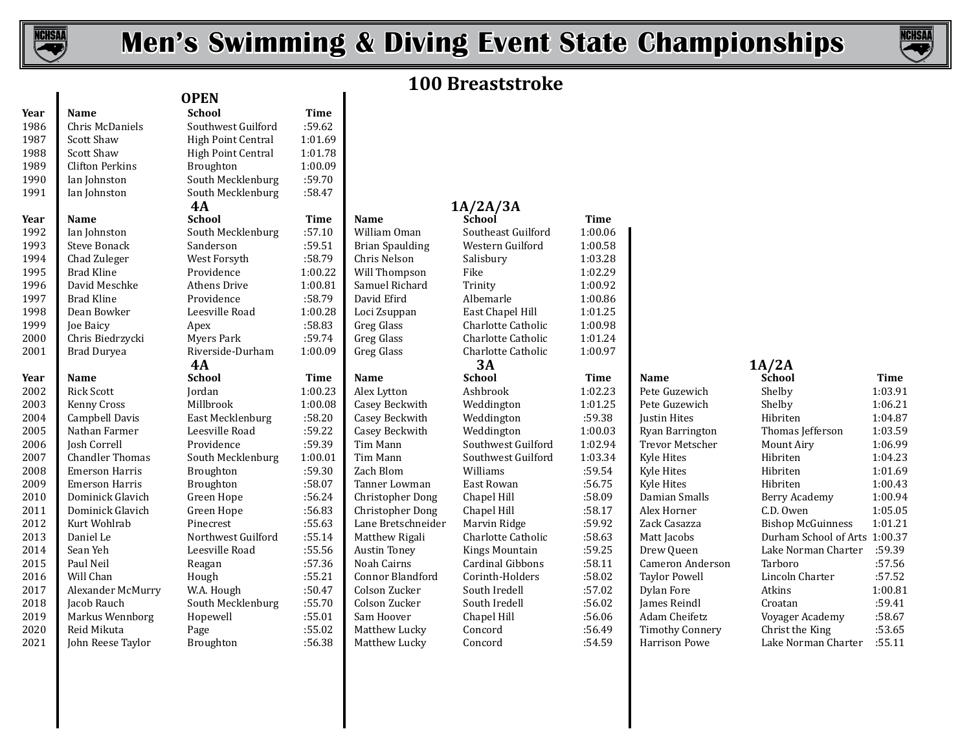

# **Men's Swimming & Diving Event State Championships**



# **100 Breaststroke**

| Year | <b>Name</b>            | School              | Time    |                         |                         |             |                        |                               |             |
|------|------------------------|---------------------|---------|-------------------------|-------------------------|-------------|------------------------|-------------------------------|-------------|
| 1986 | Chris McDaniels        | Southwest Guilford  | :59.62  |                         |                         |             |                        |                               |             |
| 1987 | <b>Scott Shaw</b>      | High Point Central  | 1:01.69 |                         |                         |             |                        |                               |             |
| 1988 | <b>Scott Shaw</b>      | High Point Central  | 1:01.78 |                         |                         |             |                        |                               |             |
| 1989 | <b>Clifton Perkins</b> | Broughton           | 1:00.09 |                         |                         |             |                        |                               |             |
| 1990 | Ian Johnston           | South Mecklenburg   | :59.70  |                         |                         |             |                        |                               |             |
| 1991 | Ian Johnston           | South Mecklenburg   | :58.47  |                         |                         |             |                        |                               |             |
|      |                        | 4A                  |         |                         | 1A/2A/3A                |             |                        |                               |             |
| Year | Name                   | <b>School</b>       | Time    | Name                    | School                  | <b>Time</b> |                        |                               |             |
| 1992 | Ian Johnston           | South Mecklenburg   | :57.10  | William Oman            | Southeast Guilford      | 1:00.06     |                        |                               |             |
| 1993 | <b>Steve Bonack</b>    | Sanderson           | :59.51  | <b>Brian Spaulding</b>  | Western Guilford        | 1:00.58     |                        |                               |             |
| 1994 | Chad Zuleger           | West Forsyth        | :58.79  | Chris Nelson            | Salisbury               | 1:03.28     |                        |                               |             |
| 1995 | <b>Brad Kline</b>      | Providence          | 1:00.22 | Will Thompson           | Fike                    | 1:02.29     |                        |                               |             |
| 1996 | David Meschke          | <b>Athens Drive</b> | 1:00.81 | Samuel Richard          | Trinity                 | 1:00.92     |                        |                               |             |
| 1997 | <b>Brad Kline</b>      | Providence          | :58.79  | David Efird             | Albemarle               | 1:00.86     |                        |                               |             |
| 1998 | Dean Bowker            | Leesville Road      | 1:00.28 | Loci Zsuppan            | East Chapel Hill        | 1:01.25     |                        |                               |             |
| 1999 | Joe Baicy              | Apex                | :58.83  | Greg Glass              | Charlotte Catholic      | 1:00.98     |                        |                               |             |
| 2000 | Chris Biedrzycki       | Myers Park          | :59.74  | Greg Glass              | Charlotte Catholic      | 1:01.24     |                        |                               |             |
| 2001 | Brad Duryea            | Riverside-Durham    | 1:00.09 | Greg Glass              | Charlotte Catholic      | 1:00.97     |                        |                               |             |
|      |                        | 4A                  |         |                         | 3A                      |             |                        | 1A/2A                         |             |
| Year | <b>Name</b>            | <b>School</b>       | Time    | <b>Name</b>             | <b>School</b>           | Time        | Name                   | School                        | <b>Time</b> |
| 2002 | <b>Rick Scott</b>      | Jordan              | 1:00.23 | Alex Lytton             | Ashbrook                | 1:02.23     | Pete Guzewich          | Shelby                        | 1:03.91     |
| 2003 | Kenny Cross            | Millbrook           | 1:00.08 | Casey Beckwith          | Weddington              | 1:01.25     | Pete Guzewich          | Shelby                        | 1:06.2      |
| 2004 | Campbell Davis         | East Mecklenburg    | :58.20  | Casey Beckwith          | Weddington              | :59.38      | Justin Hites           | Hibriten                      | 1:04.87     |
| 2005 | Nathan Farmer          | Leesville Road      | :59.22  | Casey Beckwith          | Weddington              | 1:00.03     | Ryan Barrington        | Thomas Jefferson              | 1:03.59     |
| 2006 | Josh Correll           | Providence          | :59.39  | Tim Mann                | Southwest Guilford      | 1:02.94     | Trevor Metscher        | Mount Airy                    | 1:06.99     |
| 2007 | <b>Chandler Thomas</b> | South Mecklenburg   | 1:00.01 | Tim Mann                | Southwest Guilford      | 1:03.34     | Kyle Hites             | Hibriten                      | 1:04.23     |
| 2008 | <b>Emerson Harris</b>  | Broughton           | :59.30  | Zach Blom               | Williams                | :59.54      | Kyle Hites             | Hibriten                      | 1:01.69     |
| 2009 | <b>Emerson Harris</b>  | Broughton           | :58.07  | Tanner Lowman           | East Rowan              | :56.75      | Kyle Hites             | Hibriten                      | 1:00.43     |
| 2010 | Dominick Glavich       | Green Hope          | :56.24  | Christopher Dong        | Chapel Hill             | :58.09      | Damian Smalls          | Berry Academy                 | 1:00.94     |
| 2011 | Dominick Glavich       | Green Hope          | :56.83  | <b>Christopher Dong</b> | Chapel Hill             | :58.17      | Alex Horner            | C.D. Owen                     | 1:05.0      |
| 2012 | Kurt Wohlrab           | Pinecrest           | :55.63  | Lane Bretschneider      | Marvin Ridge            | :59.92      | Zack Casazza           | <b>Bishop McGuinness</b>      | 1:01.2      |
| 2013 | Daniel Le              | Northwest Guilford  | :55.14  | Matthew Rigali          | Charlotte Catholic      | :58.63      | Matt Jacobs            | Durham School of Arts 1:00.37 |             |
| 2014 | Sean Yeh               | Leesville Road      | :55.56  | <b>Austin Toney</b>     | Kings Mountain          | :59.25      | Drew Queen             | Lake Norman Charter           | :59.39      |
| 2015 | Paul Neil              | Reagan              | :57.36  | Noah Cairns             | <b>Cardinal Gibbons</b> | :58.11      | Cameron Anderson       | Tarboro                       | :57.56      |
| 2016 | Will Chan              | Hough               | :55.21  | Connor Blandford        | Corinth-Holders         | :58.02      | <b>Taylor Powell</b>   | Lincoln Charter               | :57.52      |
| 2017 | Alexander McMurry      | W.A. Hough          | :50.47  | Colson Zucker           | South Iredell           | :57.02      | Dylan Fore             | Atkins                        | 1:00.8      |
| 2018 | Jacob Rauch            | South Mecklenburg   | :55.70  | Colson Zucker           | South Iredell           | :56.02      | James Reindl           | Croatan                       | :59.41      |
| 2019 | Markus Wennborg        | Hopewell            | :55.01  | Sam Hoover              | Chapel Hill             | :56.06      | Adam Cheifetz          | Voyager Academy               | :58.67      |
| 2020 | Reid Mikuta            | Page                | :55.02  | Matthew Lucky           | Concord                 | :56.49      | <b>Timothy Connery</b> | Christ the King               | :53.65      |
| 2021 | John Reese Taylor      | <b>Broughton</b>    | :56.38  | Matthew Lucky           | Concord                 | :54.59      | <b>Harrison Powe</b>   | Lake Norman Charter           | :55.11      |
|      |                        |                     |         |                         |                         |             |                        |                               |             |

# **Year Name School Time**  Southwest Guilford :59.62<br>High Point Central 1:01.69 High Point Central 1:01.69<br>High Point Central 1:01.78 High Point Central 1:01.78<br>Broughton 1:00.09 1:00.09 Broughton 1:00<br>South Mecklenburg 1:59.70 1990 South Mecklenburg :59.70<br>1990 South Mecklenburg :58.47 South Mecklenburg<br>4A **OPEN 4A 1A/2A/3A 1A/2A/3A 1A/2A/3A 1**

# **4A 3A 1A/2A**